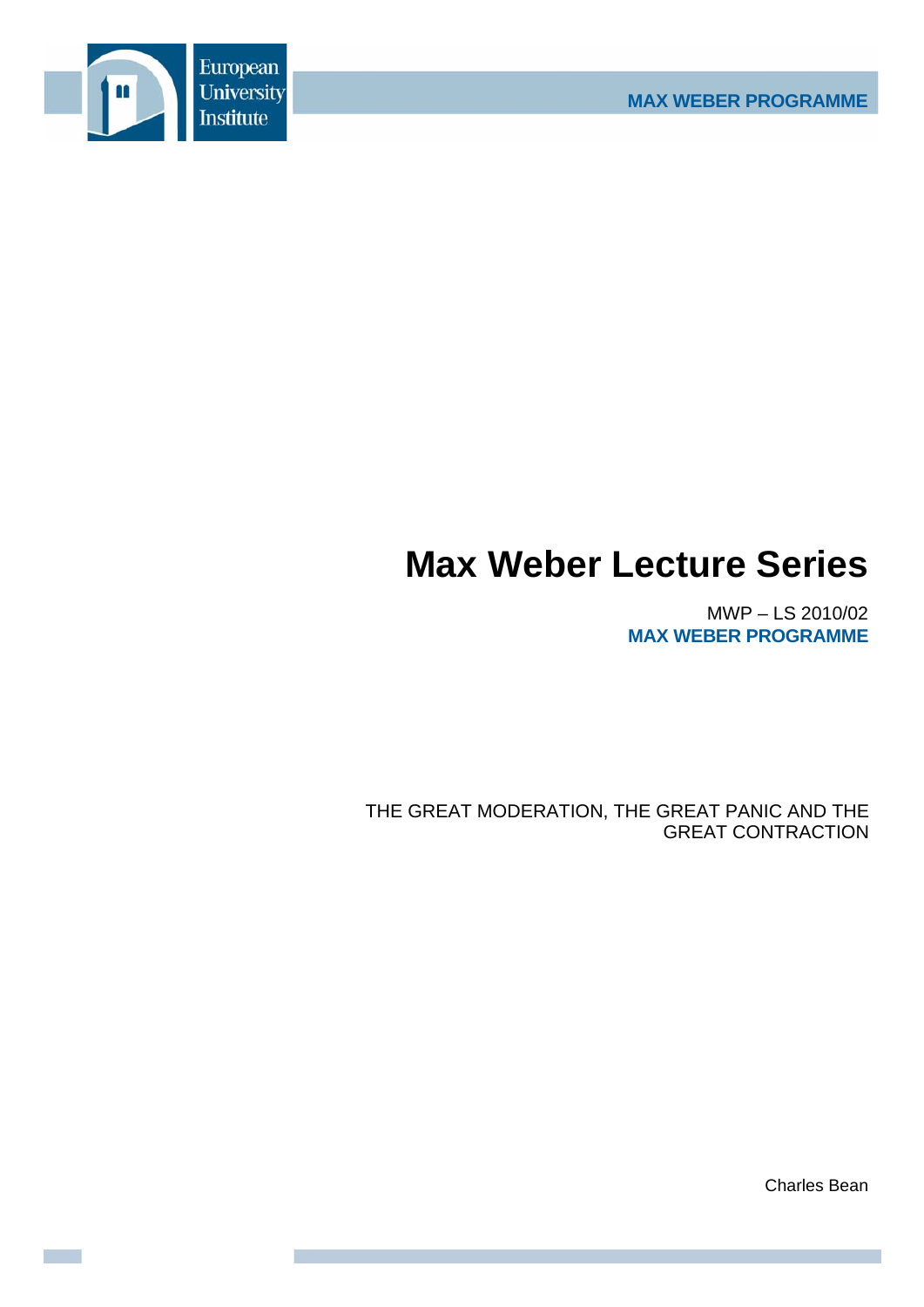

# **Max Weber Lecture Series**

MWP – LS 2010/02 **MAX WEBER PROGRAMME**

THE GREAT MODERATION, THE GREAT PANIC AND THE GREAT CONTRACTION

Charles Bean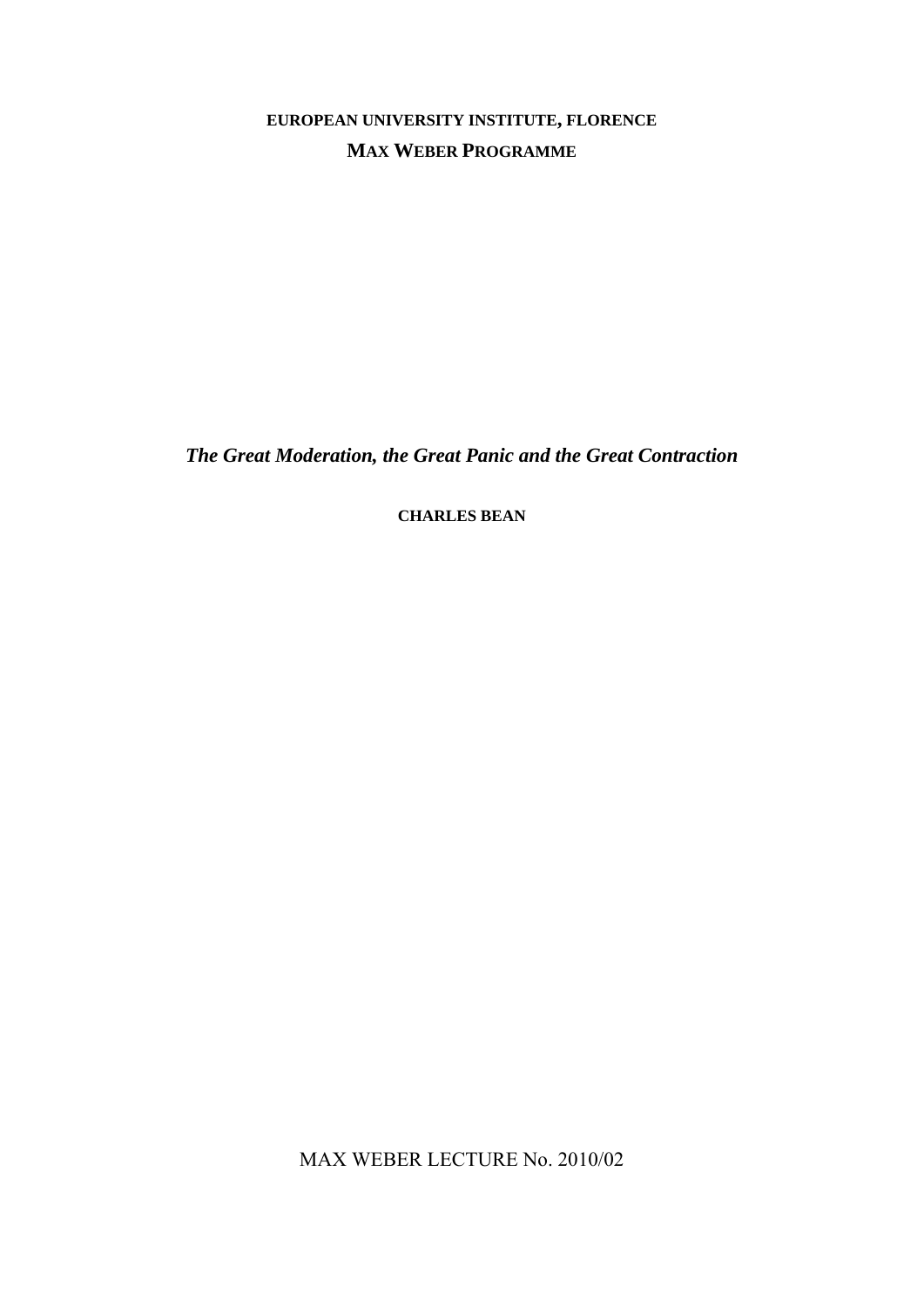## **EUROPEAN UNIVERSITY INSTITUTE, FLORENCE MAX WEBER PROGRAMME**

*The Great Moderation, the Great Panic and the Great Contraction* 

**CHARLES BEAN**

MAX WEBER LECTURE No. 2010/02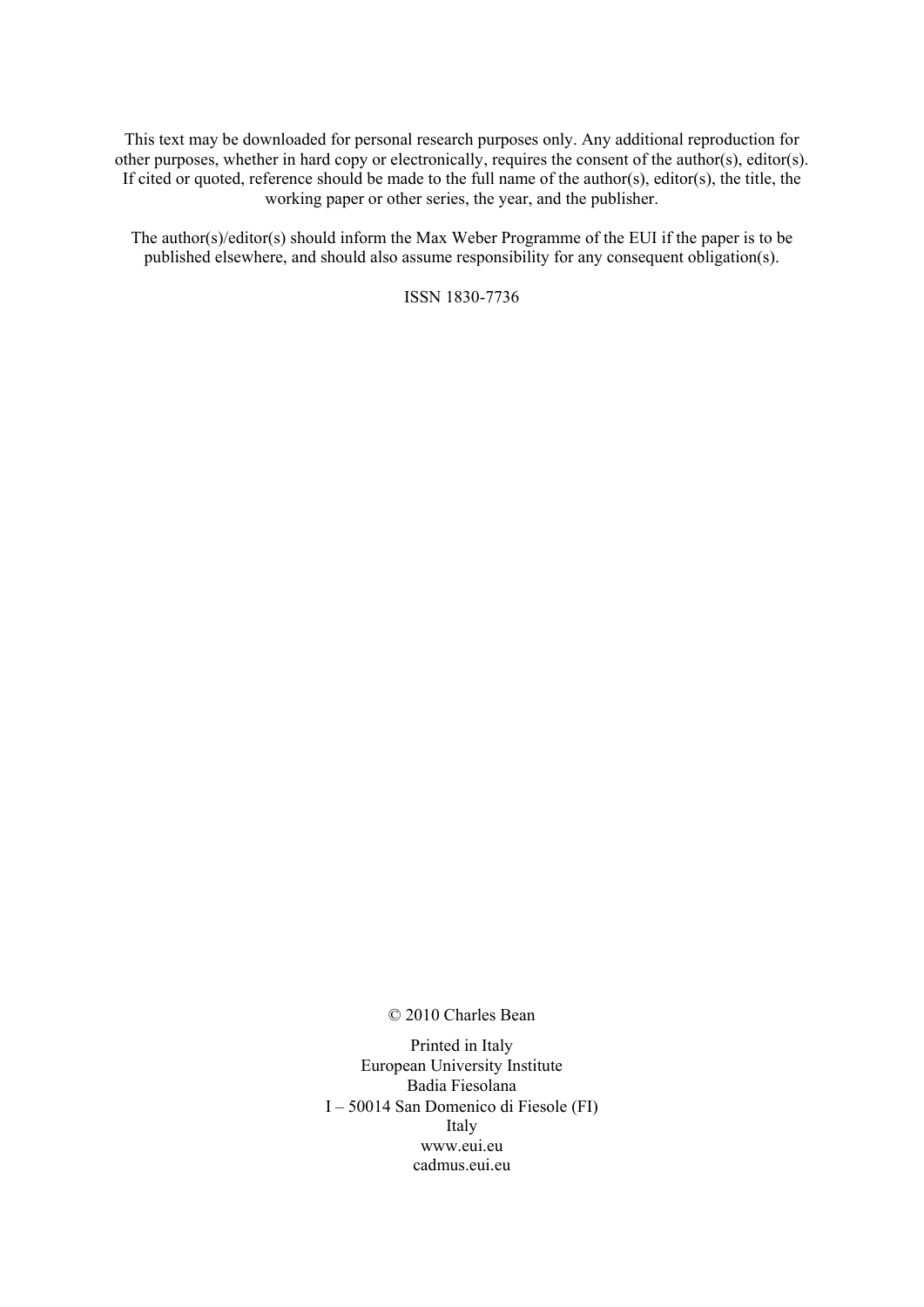This text may be downloaded for personal research purposes only. Any additional reproduction for other purposes, whether in hard copy or electronically, requires the consent of the author(s), editor(s). If cited or quoted, reference should be made to the full name of the author(s), editor(s), the title, the working paper or other series, the year, and the publisher.

The author(s)/editor(s) should inform the Max Weber Programme of the EUI if the paper is to be published elsewhere, and should also assume responsibility for any consequent obligation(s).

ISSN 1830-7736

© 2010 Charles Bean

Printed in Italy European University Institute Badia Fiesolana I – 50014 San Domenico di Fiesole (FI) Italy [www.eui.eu](http://www.eui.eu/)  [cadmus.eui.eu](http://cadmus.eui.eu/dspace/index.jsp)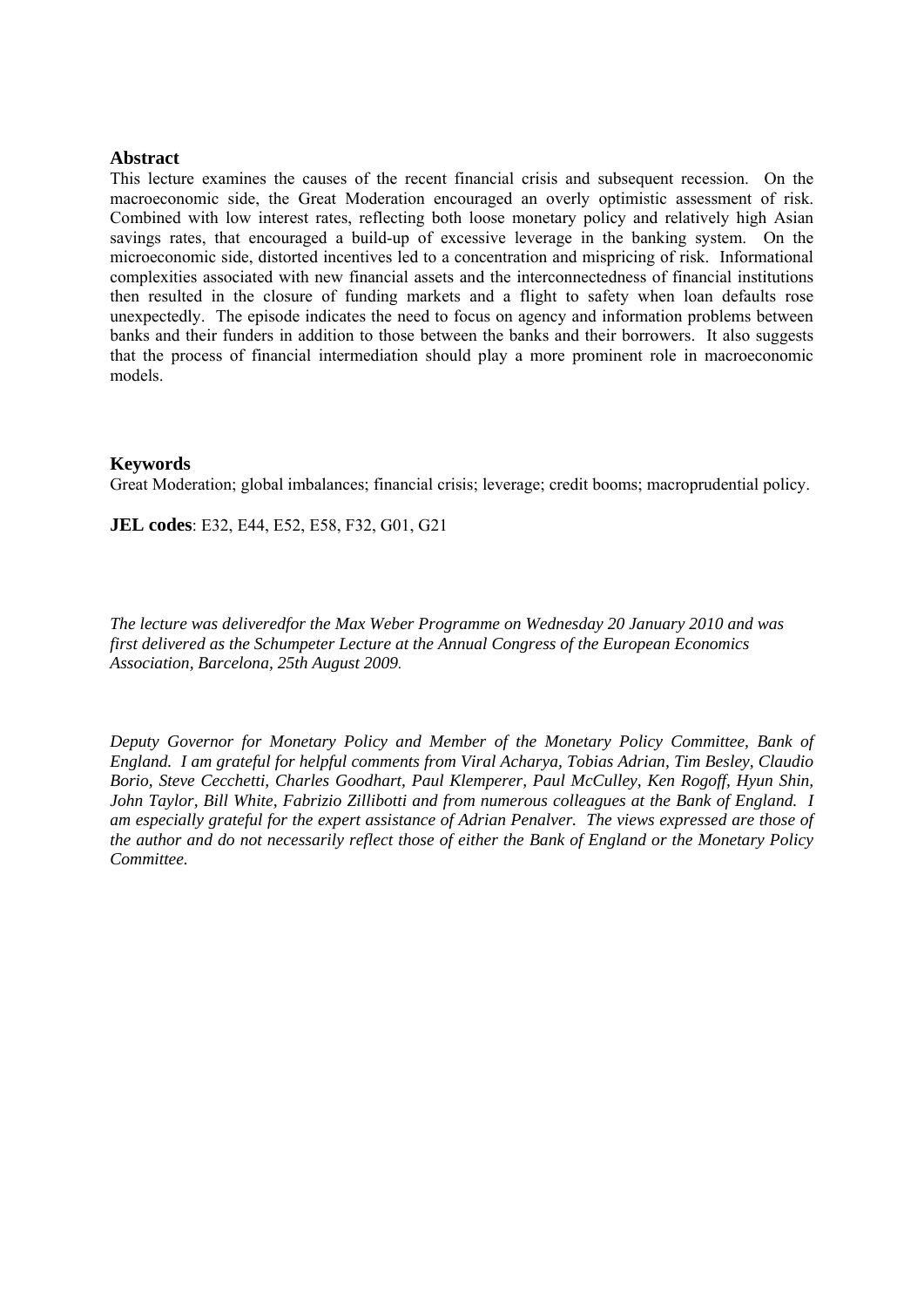#### **Abstract**

This lecture examines the causes of the recent financial crisis and subsequent recession. On the macroeconomic side, the Great Moderation encouraged an overly optimistic assessment of risk. Combined with low interest rates, reflecting both loose monetary policy and relatively high Asian savings rates, that encouraged a build-up of excessive leverage in the banking system. On the microeconomic side, distorted incentives led to a concentration and mispricing of risk. Informational complexities associated with new financial assets and the interconnectedness of financial institutions then resulted in the closure of funding markets and a flight to safety when loan defaults rose unexpectedly. The episode indicates the need to focus on agency and information problems between banks and their funders in addition to those between the banks and their borrowers. It also suggests that the process of financial intermediation should play a more prominent role in macroeconomic models.

#### **Keywords**

Great Moderation; global imbalances; financial crisis; leverage; credit booms; macroprudential policy.

**JEL codes**: E32, E44, E52, E58, F32, G01, G21

*The lecture was deliveredfor the Max Weber Programme on Wednesday 20 January 2010 and was first delivered as the Schumpeter Lecture at the Annual Congress of the European Economics Association, Barcelona, 25th August 2009.*

*Deputy Governor for Monetary Policy and Member of the Monetary Policy Committee, Bank of England. I am grateful for helpful comments from Viral Acharya, Tobias Adrian, Tim Besley, Claudio Borio, Steve Cecchetti, Charles Goodhart, Paul Klemperer, Paul McCulley, Ken Rogoff, Hyun Shin, John Taylor, Bill White, Fabrizio Zillibotti and from numerous colleagues at the Bank of England. I am especially grateful for the expert assistance of Adrian Penalver. The views expressed are those of the author and do not necessarily reflect those of either the Bank of England or the Monetary Policy Committee.*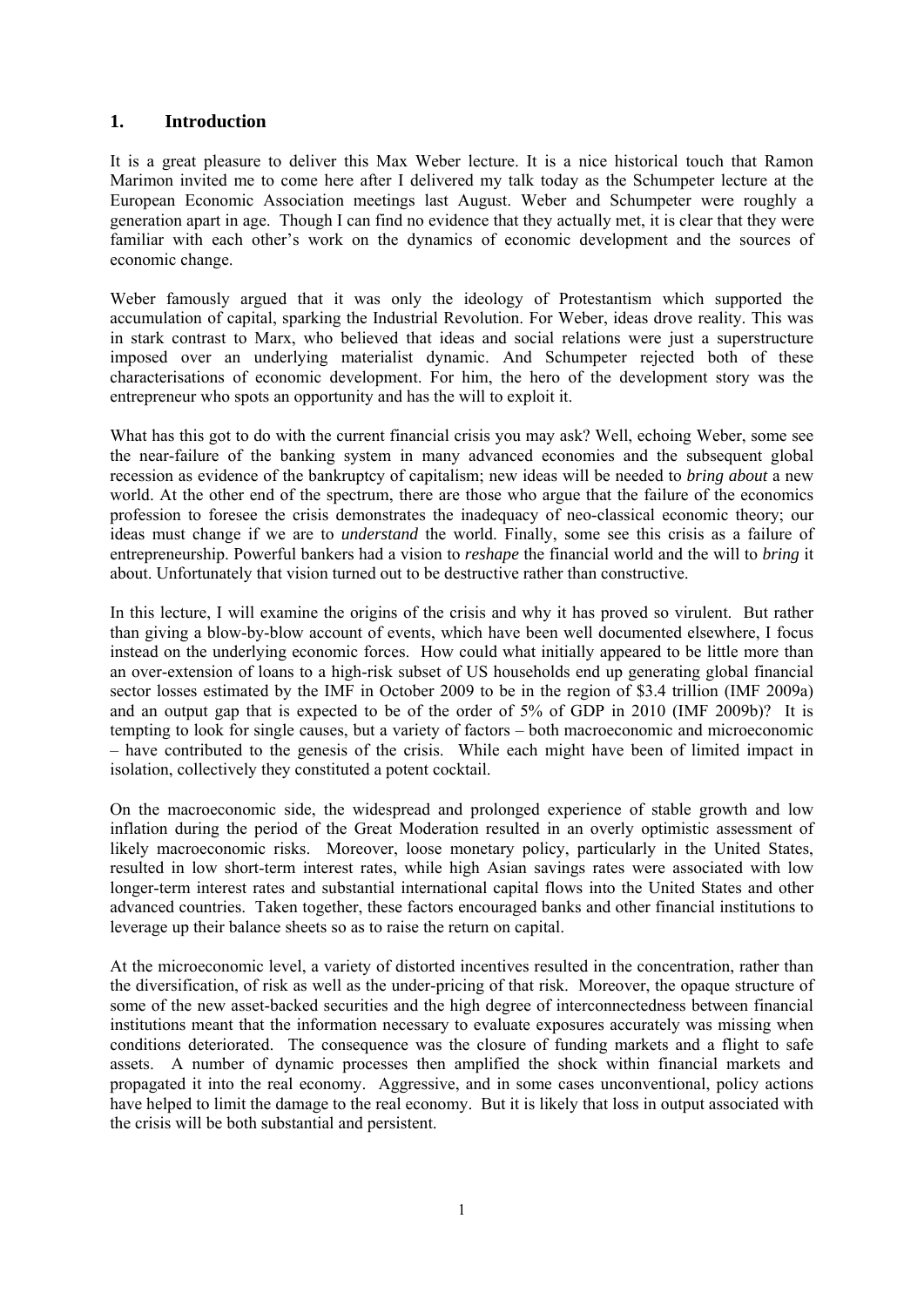## **1. Introduction**

It is a great pleasure to deliver this Max Weber lecture. It is a nice historical touch that Ramon Marimon invited me to come here after I delivered my talk today as the Schumpeter lecture at the European Economic Association meetings last August. Weber and Schumpeter were roughly a generation apart in age. Though I can find no evidence that they actually met, it is clear that they were familiar with each other's work on the dynamics of economic development and the sources of economic change.

Weber famously argued that it was only the ideology of Protestantism which supported the accumulation of capital, sparking the Industrial Revolution. For Weber, ideas drove reality. This was in stark contrast to Marx, who believed that ideas and social relations were just a superstructure imposed over an underlying materialist dynamic. And Schumpeter rejected both of these characterisations of economic development. For him, the hero of the development story was the entrepreneur who spots an opportunity and has the will to exploit it.

What has this got to do with the current financial crisis you may ask? Well, echoing Weber, some see the near-failure of the banking system in many advanced economies and the subsequent global recession as evidence of the bankruptcy of capitalism; new ideas will be needed to *bring about* a new world. At the other end of the spectrum, there are those who argue that the failure of the economics profession to foresee the crisis demonstrates the inadequacy of neo-classical economic theory; our ideas must change if we are to *understand* the world. Finally, some see this crisis as a failure of entrepreneurship. Powerful bankers had a vision to *reshape* the financial world and the will to *bring* it about. Unfortunately that vision turned out to be destructive rather than constructive.

In this lecture, I will examine the origins of the crisis and why it has proved so virulent. But rather than giving a blow-by-blow account of events, which have been well documented elsewhere, I focus instead on the underlying economic forces. How could what initially appeared to be little more than an over-extension of loans to a high-risk subset of US households end up generating global financial sector losses estimated by the IMF in October 2009 to be in the region of \$3.4 trillion (IMF 2009a) and an output gap that is expected to be of the order of 5% of GDP in 2010 (IMF 2009b)? It is tempting to look for single causes, but a variety of factors – both macroeconomic and microeconomic – have contributed to the genesis of the crisis. While each might have been of limited impact in isolation, collectively they constituted a potent cocktail.

On the macroeconomic side, the widespread and prolonged experience of stable growth and low inflation during the period of the Great Moderation resulted in an overly optimistic assessment of likely macroeconomic risks. Moreover, loose monetary policy, particularly in the United States, resulted in low short-term interest rates, while high Asian savings rates were associated with low longer-term interest rates and substantial international capital flows into the United States and other advanced countries. Taken together, these factors encouraged banks and other financial institutions to leverage up their balance sheets so as to raise the return on capital.

At the microeconomic level, a variety of distorted incentives resulted in the concentration, rather than the diversification, of risk as well as the under-pricing of that risk. Moreover, the opaque structure of some of the new asset-backed securities and the high degree of interconnectedness between financial institutions meant that the information necessary to evaluate exposures accurately was missing when conditions deteriorated. The consequence was the closure of funding markets and a flight to safe assets. A number of dynamic processes then amplified the shock within financial markets and propagated it into the real economy. Aggressive, and in some cases unconventional, policy actions have helped to limit the damage to the real economy. But it is likely that loss in output associated with the crisis will be both substantial and persistent.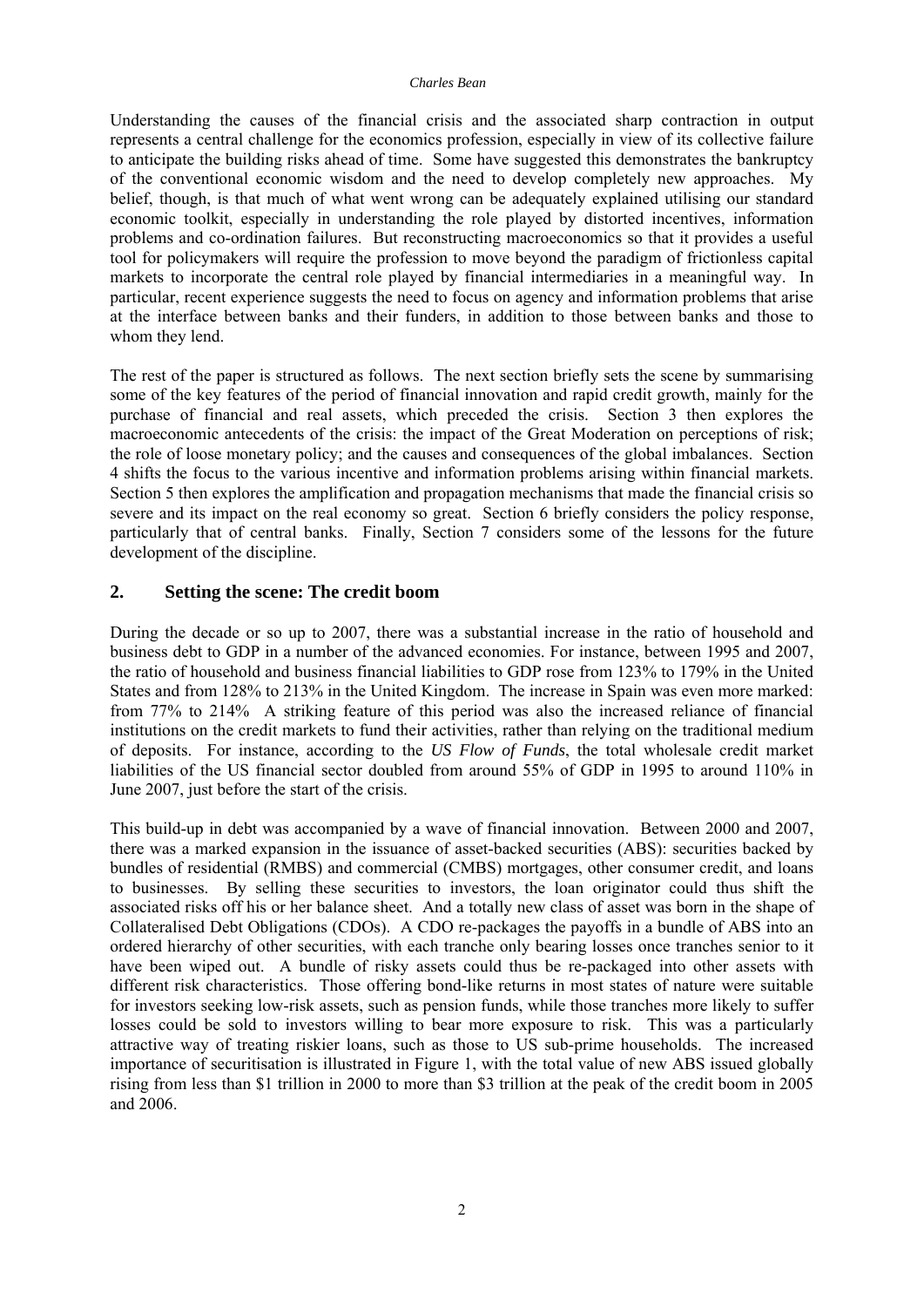Understanding the causes of the financial crisis and the associated sharp contraction in output represents a central challenge for the economics profession, especially in view of its collective failure to anticipate the building risks ahead of time. Some have suggested this demonstrates the bankruptcy of the conventional economic wisdom and the need to develop completely new approaches. My belief, though, is that much of what went wrong can be adequately explained utilising our standard economic toolkit, especially in understanding the role played by distorted incentives, information problems and co-ordination failures. But reconstructing macroeconomics so that it provides a useful tool for policymakers will require the profession to move beyond the paradigm of frictionless capital markets to incorporate the central role played by financial intermediaries in a meaningful way. In particular, recent experience suggests the need to focus on agency and information problems that arise at the interface between banks and their funders, in addition to those between banks and those to whom they lend.

The rest of the paper is structured as follows. The next section briefly sets the scene by summarising some of the key features of the period of financial innovation and rapid credit growth, mainly for the purchase of financial and real assets, which preceded the crisis. Section 3 then explores the macroeconomic antecedents of the crisis: the impact of the Great Moderation on perceptions of risk; the role of loose monetary policy; and the causes and consequences of the global imbalances. Section 4 shifts the focus to the various incentive and information problems arising within financial markets. Section 5 then explores the amplification and propagation mechanisms that made the financial crisis so severe and its impact on the real economy so great. Section 6 briefly considers the policy response, particularly that of central banks. Finally, Section 7 considers some of the lessons for the future development of the discipline.

#### **2. Setting the scene: The credit boom**

During the decade or so up to 2007, there was a substantial increase in the ratio of household and business debt to GDP in a number of the advanced economies. For instance, between 1995 and 2007, the ratio of household and business financial liabilities to GDP rose from 123% to 179% in the United States and from 128% to 213% in the United Kingdom. The increase in Spain was even more marked: from 77% to 214% A striking feature of this period was also the increased reliance of financial institutions on the credit markets to fund their activities, rather than relying on the traditional medium of deposits. For instance, according to the *US Flow of Funds*, the total wholesale credit market liabilities of the US financial sector doubled from around 55% of GDP in 1995 to around 110% in June 2007, just before the start of the crisis.

This build-up in debt was accompanied by a wave of financial innovation. Between 2000 and 2007, there was a marked expansion in the issuance of asset-backed securities (ABS): securities backed by bundles of residential (RMBS) and commercial (CMBS) mortgages, other consumer credit, and loans to businesses. By selling these securities to investors, the loan originator could thus shift the associated risks off his or her balance sheet. And a totally new class of asset was born in the shape of Collateralised Debt Obligations (CDOs). A CDO re-packages the payoffs in a bundle of ABS into an ordered hierarchy of other securities, with each tranche only bearing losses once tranches senior to it have been wiped out. A bundle of risky assets could thus be re-packaged into other assets with different risk characteristics. Those offering bond-like returns in most states of nature were suitable for investors seeking low-risk assets, such as pension funds, while those tranches more likely to suffer losses could be sold to investors willing to bear more exposure to risk. This was a particularly attractive way of treating riskier loans, such as those to US sub-prime households. The increased importance of securitisation is illustrated in Figure 1, with the total value of new ABS issued globally rising from less than \$1 trillion in 2000 to more than \$3 trillion at the peak of the credit boom in 2005 and 2006.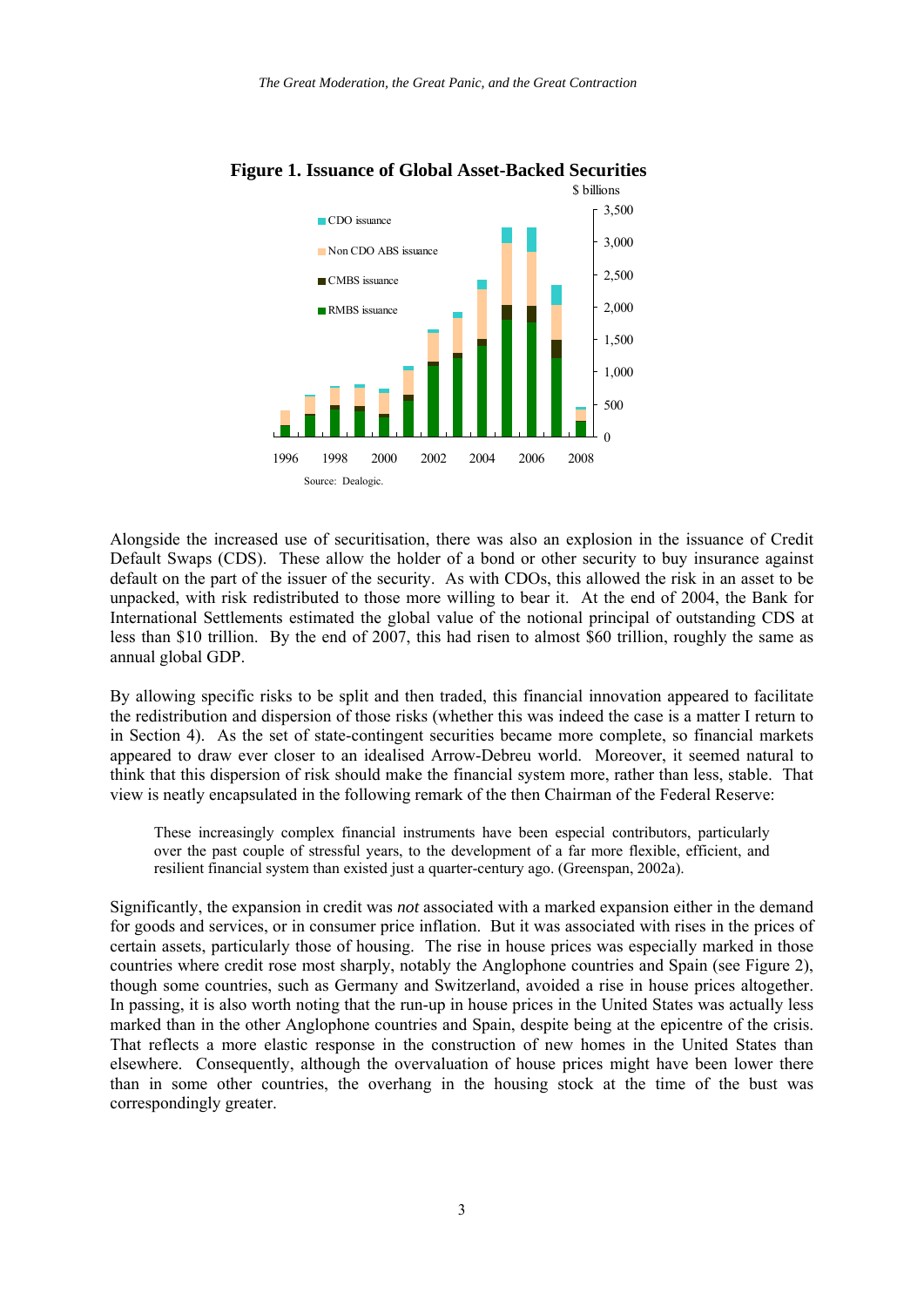

## **Figure 1. Issuance of Global Asset-Backed Securities**

Alongside the increased use of securitisation, there was also an explosion in the issuance of Credit Default Swaps (CDS). These allow the holder of a bond or other security to buy insurance against default on the part of the issuer of the security. As with CDOs, this allowed the risk in an asset to be unpacked, with risk redistributed to those more willing to bear it. At the end of 2004, the Bank for International Settlements estimated the global value of the notional principal of outstanding CDS at less than \$10 trillion. By the end of 2007, this had risen to almost \$60 trillion, roughly the same as annual global GDP.

By allowing specific risks to be split and then traded, this financial innovation appeared to facilitate the redistribution and dispersion of those risks (whether this was indeed the case is a matter I return to in Section 4). As the set of state-contingent securities became more complete, so financial markets appeared to draw ever closer to an idealised Arrow-Debreu world. Moreover, it seemed natural to think that this dispersion of risk should make the financial system more, rather than less, stable. That view is neatly encapsulated in the following remark of the then Chairman of the Federal Reserve:

These increasingly complex financial instruments have been especial contributors, particularly over the past couple of stressful years, to the development of a far more flexible, efficient, and resilient financial system than existed just a quarter-century ago. (Greenspan, 2002a).

Significantly, the expansion in credit was *not* associated with a marked expansion either in the demand for goods and services, or in consumer price inflation. But it was associated with rises in the prices of certain assets, particularly those of housing. The rise in house prices was especially marked in those countries where credit rose most sharply, notably the Anglophone countries and Spain (see Figure 2), though some countries, such as Germany and Switzerland, avoided a rise in house prices altogether. In passing, it is also worth noting that the run-up in house prices in the United States was actually less marked than in the other Anglophone countries and Spain, despite being at the epicentre of the crisis. That reflects a more elastic response in the construction of new homes in the United States than elsewhere. Consequently, although the overvaluation of house prices might have been lower there than in some other countries, the overhang in the housing stock at the time of the bust was correspondingly greater.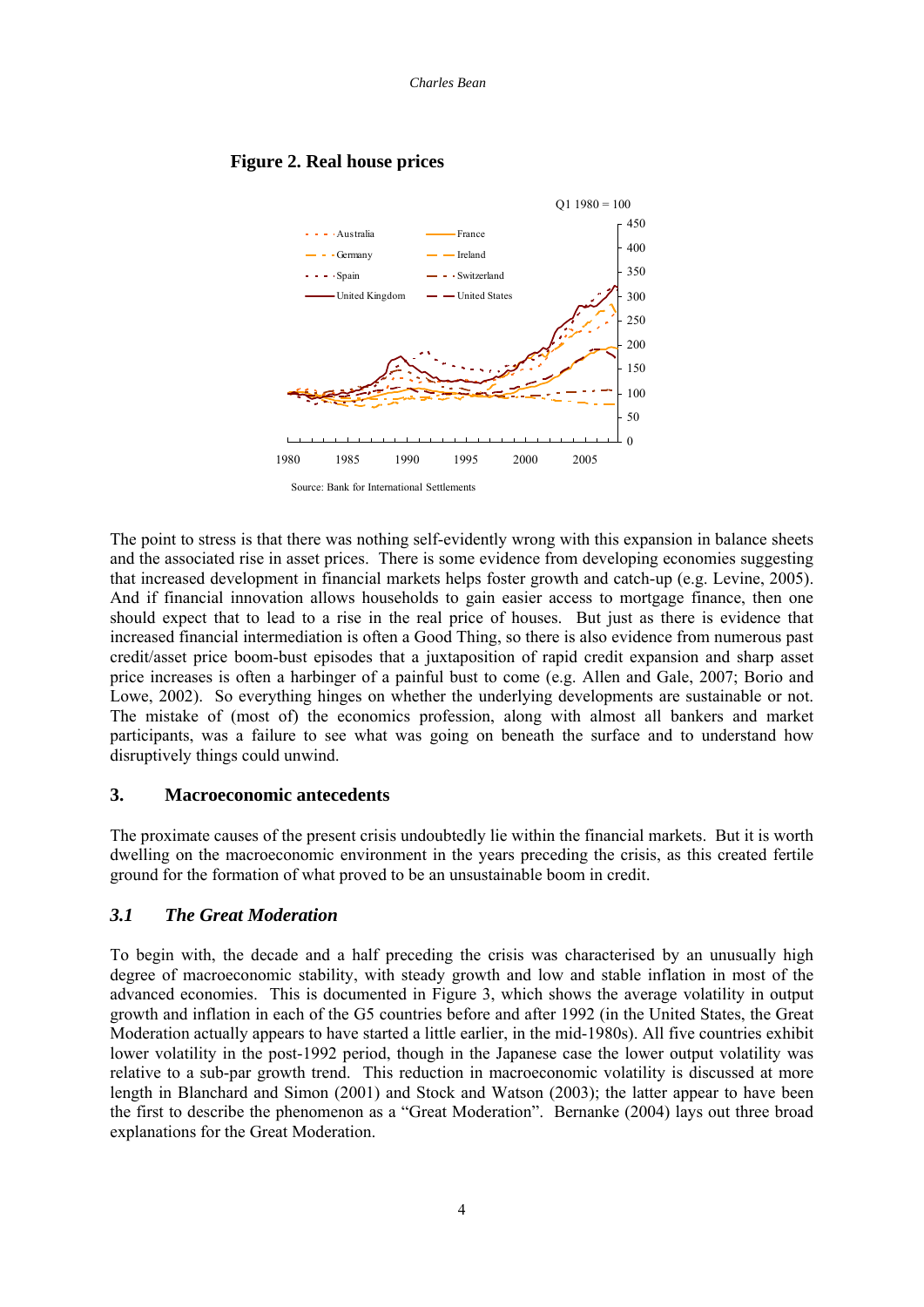

#### **Figure 2. Real house prices**

The point to stress is that there was nothing self-evidently wrong with this expansion in balance sheets and the associated rise in asset prices. There is some evidence from developing economies suggesting that increased development in financial markets helps foster growth and catch-up (e.g. Levine, 2005). And if financial innovation allows households to gain easier access to mortgage finance, then one should expect that to lead to a rise in the real price of houses. But just as there is evidence that increased financial intermediation is often a Good Thing, so there is also evidence from numerous past credit/asset price boom-bust episodes that a juxtaposition of rapid credit expansion and sharp asset price increases is often a harbinger of a painful bust to come (e.g. Allen and Gale, 2007; Borio and Lowe, 2002). So everything hinges on whether the underlying developments are sustainable or not. The mistake of (most of) the economics profession, along with almost all bankers and market participants, was a failure to see what was going on beneath the surface and to understand how disruptively things could unwind.

#### **3. Macroeconomic antecedents**

The proximate causes of the present crisis undoubtedly lie within the financial markets. But it is worth dwelling on the macroeconomic environment in the years preceding the crisis, as this created fertile ground for the formation of what proved to be an unsustainable boom in credit.

#### *3.1 The Great Moderation*

To begin with, the decade and a half preceding the crisis was characterised by an unusually high degree of macroeconomic stability, with steady growth and low and stable inflation in most of the advanced economies. This is documented in Figure 3, which shows the average volatility in output growth and inflation in each of the G5 countries before and after 1992 (in the United States, the Great Moderation actually appears to have started a little earlier, in the mid-1980s). All five countries exhibit lower volatility in the post-1992 period, though in the Japanese case the lower output volatility was relative to a sub-par growth trend. This reduction in macroeconomic volatility is discussed at more length in Blanchard and Simon (2001) and Stock and Watson (2003); the latter appear to have been the first to describe the phenomenon as a "Great Moderation". Bernanke (2004) lays out three broad explanations for the Great Moderation.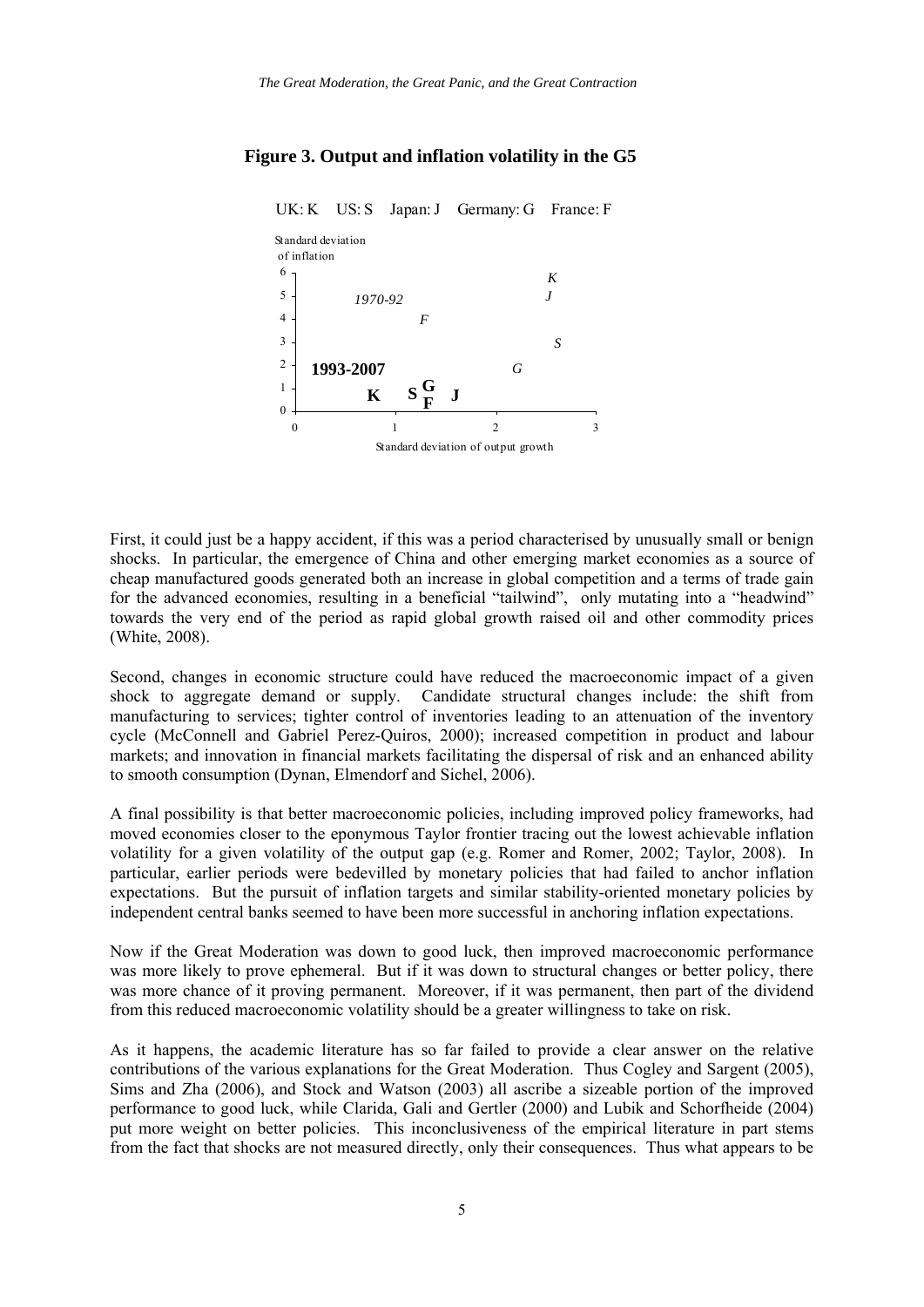

## **Figure 3. Output and inflation volatility in the G5**

First, it could just be a happy accident, if this was a period characterised by unusually small or benign shocks. In particular, the emergence of China and other emerging market economies as a source of cheap manufactured goods generated both an increase in global competition and a terms of trade gain for the advanced economies, resulting in a beneficial "tailwind", only mutating into a "headwind" towards the very end of the period as rapid global growth raised oil and other commodity prices (White, 2008).

Second, changes in economic structure could have reduced the macroeconomic impact of a given shock to aggregate demand or supply. Candidate structural changes include: the shift from manufacturing to services; tighter control of inventories leading to an attenuation of the inventory cycle (McConnell and Gabriel Perez-Quiros, 2000); increased competition in product and labour markets; and innovation in financial markets facilitating the dispersal of risk and an enhanced ability to smooth consumption (Dynan, Elmendorf and Sichel, 2006).

A final possibility is that better macroeconomic policies, including improved policy frameworks, had moved economies closer to the eponymous Taylor frontier tracing out the lowest achievable inflation volatility for a given volatility of the output gap (e.g. Romer and Romer, 2002; Taylor, 2008). In particular, earlier periods were bedevilled by monetary policies that had failed to anchor inflation expectations. But the pursuit of inflation targets and similar stability-oriented monetary policies by independent central banks seemed to have been more successful in anchoring inflation expectations.

Now if the Great Moderation was down to good luck, then improved macroeconomic performance was more likely to prove ephemeral. But if it was down to structural changes or better policy, there was more chance of it proving permanent. Moreover, if it was permanent, then part of the dividend from this reduced macroeconomic volatility should be a greater willingness to take on risk.

As it happens, the academic literature has so far failed to provide a clear answer on the relative contributions of the various explanations for the Great Moderation. Thus Cogley and Sargent (2005), Sims and Zha (2006), and Stock and Watson (2003) all ascribe a sizeable portion of the improved performance to good luck, while Clarida, Gali and Gertler (2000) and Lubik and Schorfheide (2004) put more weight on better policies. This inconclusiveness of the empirical literature in part stems from the fact that shocks are not measured directly, only their consequences. Thus what appears to be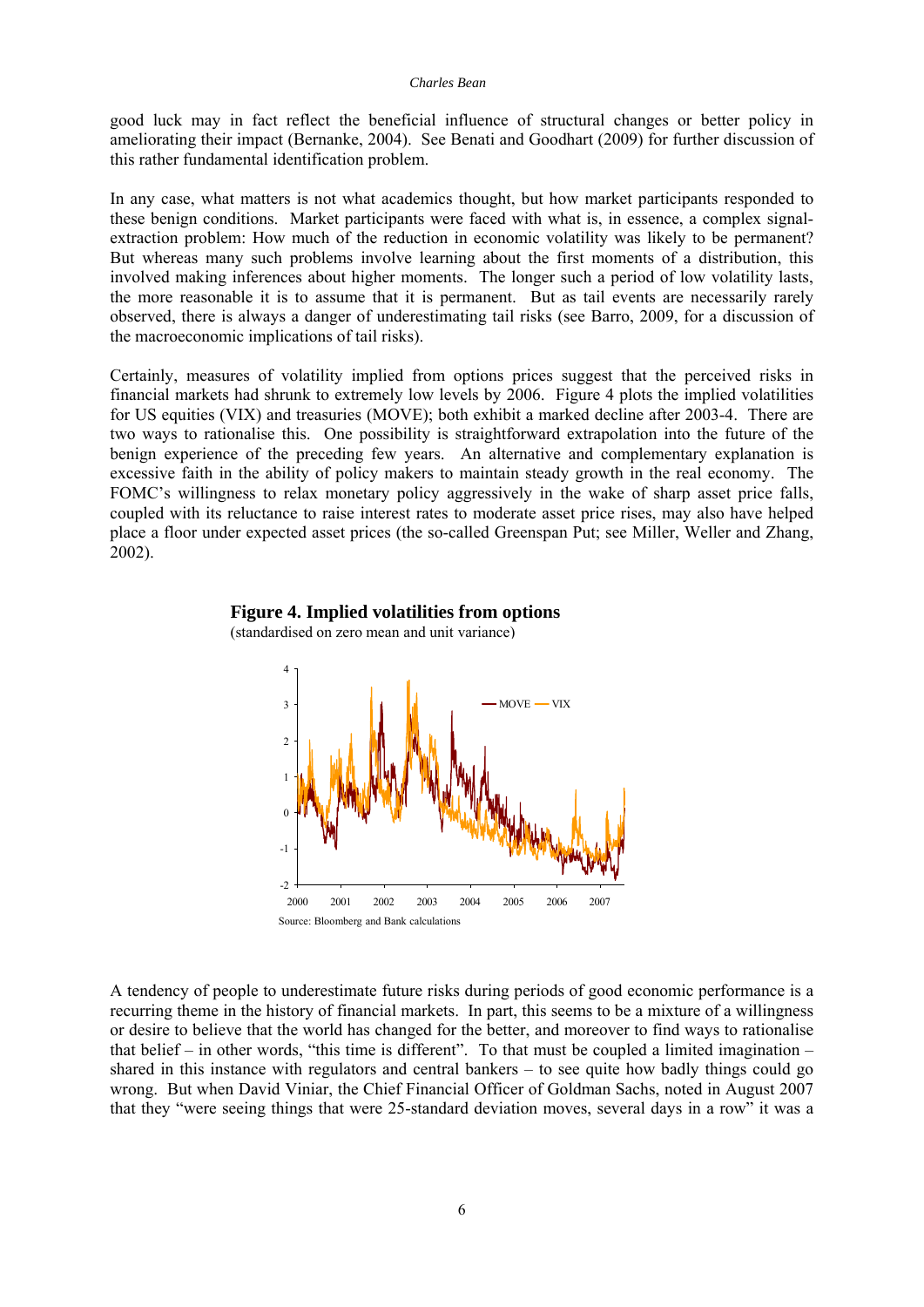good luck may in fact reflect the beneficial influence of structural changes or better policy in ameliorating their impact (Bernanke, 2004). See Benati and Goodhart (2009) for further discussion of this rather fundamental identification problem.

In any case, what matters is not what academics thought, but how market participants responded to these benign conditions. Market participants were faced with what is, in essence, a complex signalextraction problem: How much of the reduction in economic volatility was likely to be permanent? But whereas many such problems involve learning about the first moments of a distribution, this involved making inferences about higher moments. The longer such a period of low volatility lasts, the more reasonable it is to assume that it is permanent. But as tail events are necessarily rarely observed, there is always a danger of underestimating tail risks (see Barro, 2009, for a discussion of the macroeconomic implications of tail risks).

Certainly, measures of volatility implied from options prices suggest that the perceived risks in financial markets had shrunk to extremely low levels by 2006. Figure 4 plots the implied volatilities for US equities (VIX) and treasuries (MOVE); both exhibit a marked decline after 2003-4. There are two ways to rationalise this. One possibility is straightforward extrapolation into the future of the benign experience of the preceding few years. An alternative and complementary explanation is excessive faith in the ability of policy makers to maintain steady growth in the real economy. The FOMC's willingness to relax monetary policy aggressively in the wake of sharp asset price falls, coupled with its reluctance to raise interest rates to moderate asset price rises, may also have helped place a floor under expected asset prices (the so-called Greenspan Put; see Miller, Weller and Zhang, 2002).





A tendency of people to underestimate future risks during periods of good economic performance is a recurring theme in the history of financial markets. In part, this seems to be a mixture of a willingness or desire to believe that the world has changed for the better, and moreover to find ways to rationalise that belief – in other words, "this time is different". To that must be coupled a limited imagination – shared in this instance with regulators and central bankers – to see quite how badly things could go wrong. But when David Viniar, the Chief Financial Officer of Goldman Sachs, noted in August 2007 that they "were seeing things that were 25-standard deviation moves, several days in a row" it was a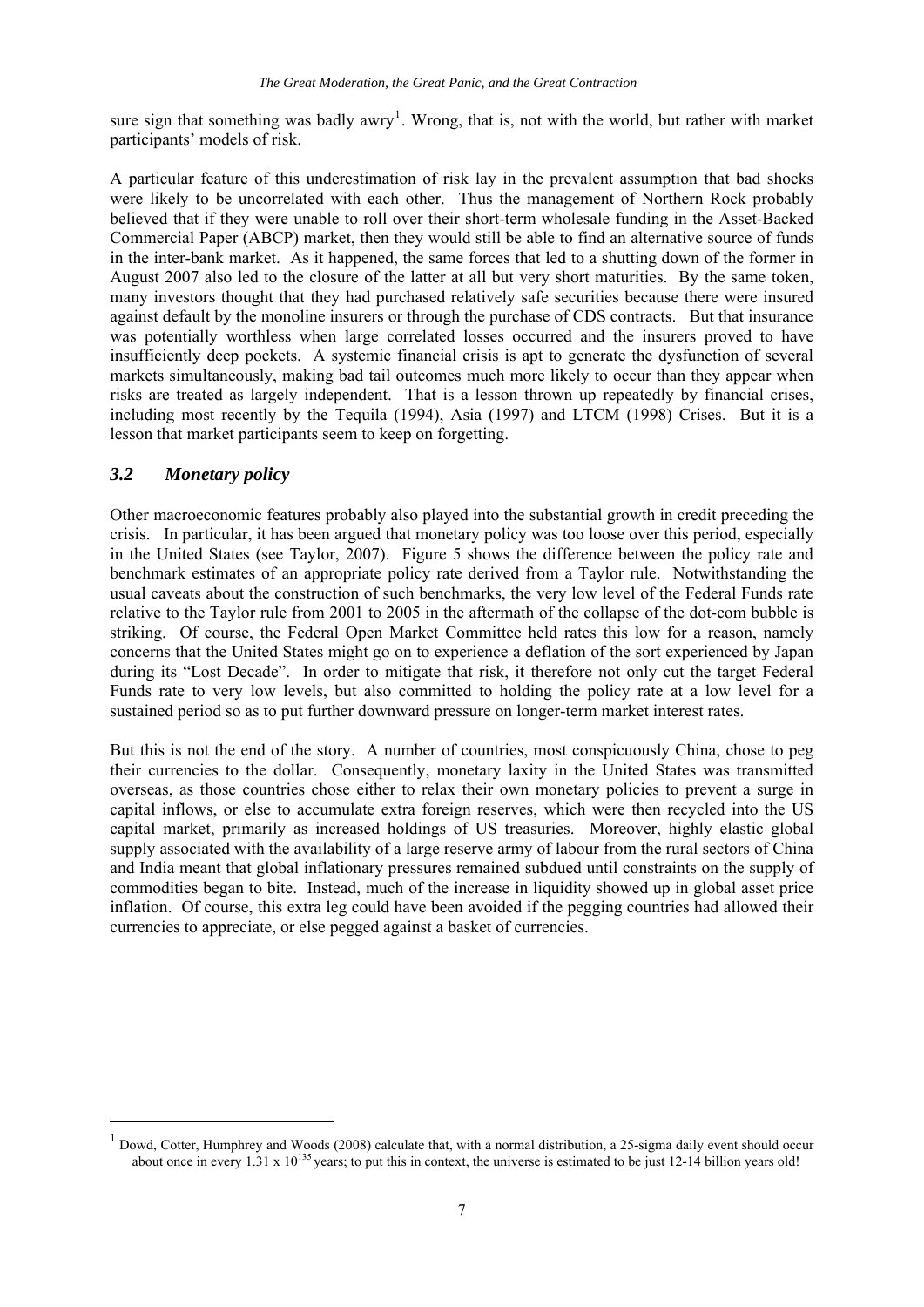sure sign that something was badly awry<sup>[1](#page-12-0)</sup>. Wrong, that is, not with the world, but rather with market participants' models of risk.

A particular feature of this underestimation of risk lay in the prevalent assumption that bad shocks were likely to be uncorrelated with each other. Thus the management of Northern Rock probably believed that if they were unable to roll over their short-term wholesale funding in the Asset-Backed Commercial Paper (ABCP) market, then they would still be able to find an alternative source of funds in the inter-bank market. As it happened, the same forces that led to a shutting down of the former in August 2007 also led to the closure of the latter at all but very short maturities. By the same token, many investors thought that they had purchased relatively safe securities because there were insured against default by the monoline insurers or through the purchase of CDS contracts. But that insurance was potentially worthless when large correlated losses occurred and the insurers proved to have insufficiently deep pockets. A systemic financial crisis is apt to generate the dysfunction of several markets simultaneously, making bad tail outcomes much more likely to occur than they appear when risks are treated as largely independent. That is a lesson thrown up repeatedly by financial crises, including most recently by the Tequila (1994), Asia (1997) and LTCM (1998) Crises. But it is a lesson that market participants seem to keep on forgetting.

## *3.2 Monetary policy*

-

Other macroeconomic features probably also played into the substantial growth in credit preceding the crisis. In particular, it has been argued that monetary policy was too loose over this period, especially in the United States (see Taylor, 2007). Figure 5 shows the difference between the policy rate and benchmark estimates of an appropriate policy rate derived from a Taylor rule. Notwithstanding the usual caveats about the construction of such benchmarks, the very low level of the Federal Funds rate relative to the Taylor rule from 2001 to 2005 in the aftermath of the collapse of the dot-com bubble is striking. Of course, the Federal Open Market Committee held rates this low for a reason, namely concerns that the United States might go on to experience a deflation of the sort experienced by Japan during its "Lost Decade". In order to mitigate that risk, it therefore not only cut the target Federal Funds rate to very low levels, but also committed to holding the policy rate at a low level for a sustained period so as to put further downward pressure on longer-term market interest rates.

But this is not the end of the story. A number of countries, most conspicuously China, chose to peg their currencies to the dollar. Consequently, monetary laxity in the United States was transmitted overseas, as those countries chose either to relax their own monetary policies to prevent a surge in capital inflows, or else to accumulate extra foreign reserves, which were then recycled into the US capital market, primarily as increased holdings of US treasuries. Moreover, highly elastic global supply associated with the availability of a large reserve army of labour from the rural sectors of China and India meant that global inflationary pressures remained subdued until constraints on the supply of commodities began to bite. Instead, much of the increase in liquidity showed up in global asset price inflation. Of course, this extra leg could have been avoided if the pegging countries had allowed their currencies to appreciate, or else pegged against a basket of currencies.

<span id="page-12-0"></span><sup>&</sup>lt;sup>1</sup> Dowd, Cotter, Humphrey and Woods (2008) calculate that, with a normal distribution, a 25-sigma daily event should occur about once in every 1.31 x  $10^{135}$  years; to put this in context, the universe is estimated to be just 12-14 billion years old!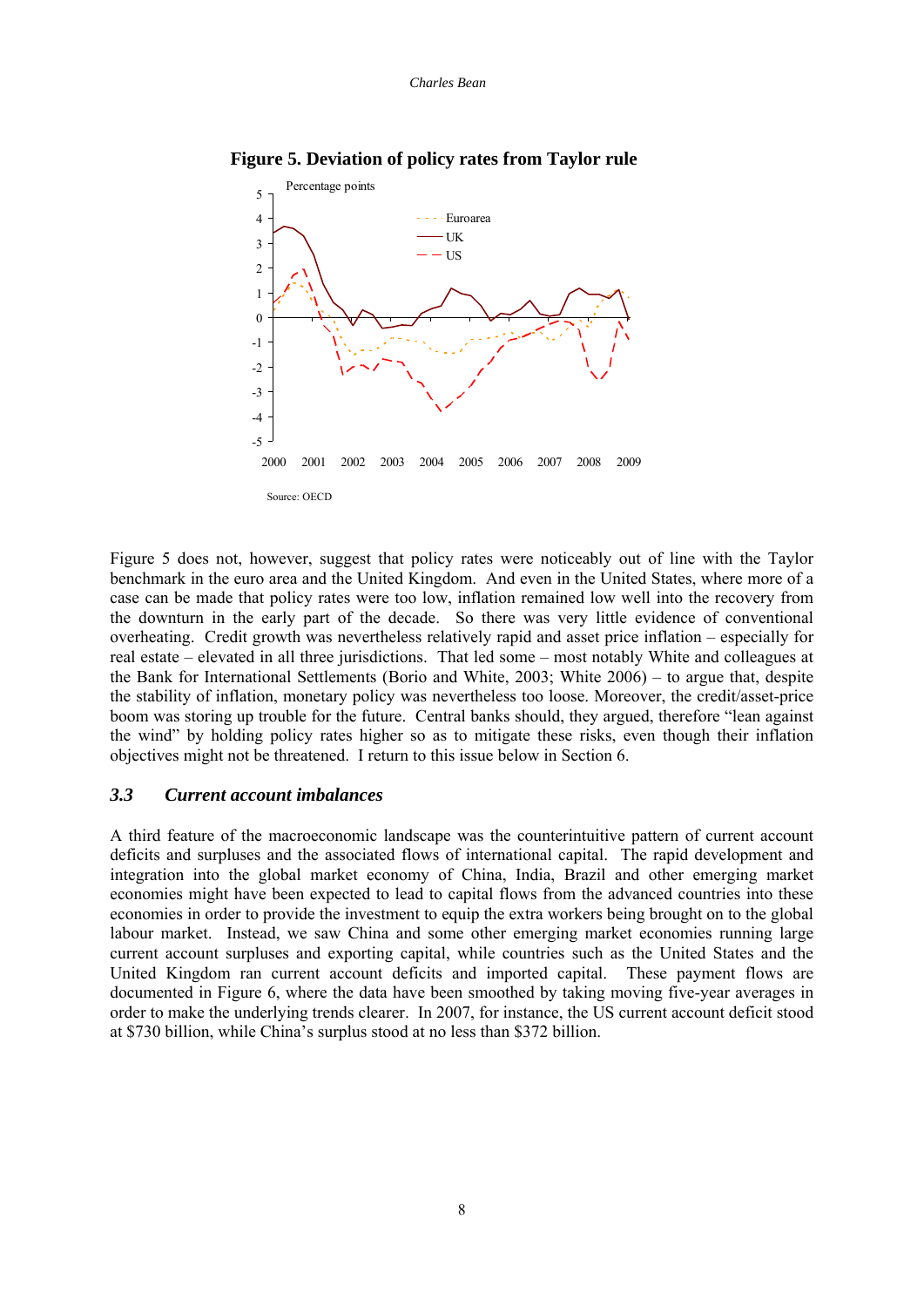



Figure 5 does not, however, suggest that policy rates were noticeably out of line with the Taylor benchmark in the euro area and the United Kingdom. And even in the United States, where more of a case can be made that policy rates were too low, inflation remained low well into the recovery from the downturn in the early part of the decade. So there was very little evidence of conventional overheating. Credit growth was nevertheless relatively rapid and asset price inflation – especially for real estate – elevated in all three jurisdictions. That led some – most notably White and colleagues at the Bank for International Settlements (Borio and White, 2003; White 2006) – to argue that, despite the stability of inflation, monetary policy was nevertheless too loose. Moreover, the credit/asset-price boom was storing up trouble for the future. Central banks should, they argued, therefore "lean against the wind" by holding policy rates higher so as to mitigate these risks, even though their inflation objectives might not be threatened. I return to this issue below in Section 6.

#### *3.3 Current account imbalances*

A third feature of the macroeconomic landscape was the counterintuitive pattern of current account deficits and surpluses and the associated flows of international capital. The rapid development and integration into the global market economy of China, India, Brazil and other emerging market economies might have been expected to lead to capital flows from the advanced countries into these economies in order to provide the investment to equip the extra workers being brought on to the global labour market. Instead, we saw China and some other emerging market economies running large current account surpluses and exporting capital, while countries such as the United States and the United Kingdom ran current account deficits and imported capital. These payment flows are documented in Figure 6, where the data have been smoothed by taking moving five-year averages in order to make the underlying trends clearer. In 2007, for instance, the US current account deficit stood at \$730 billion, while China's surplus stood at no less than \$372 billion.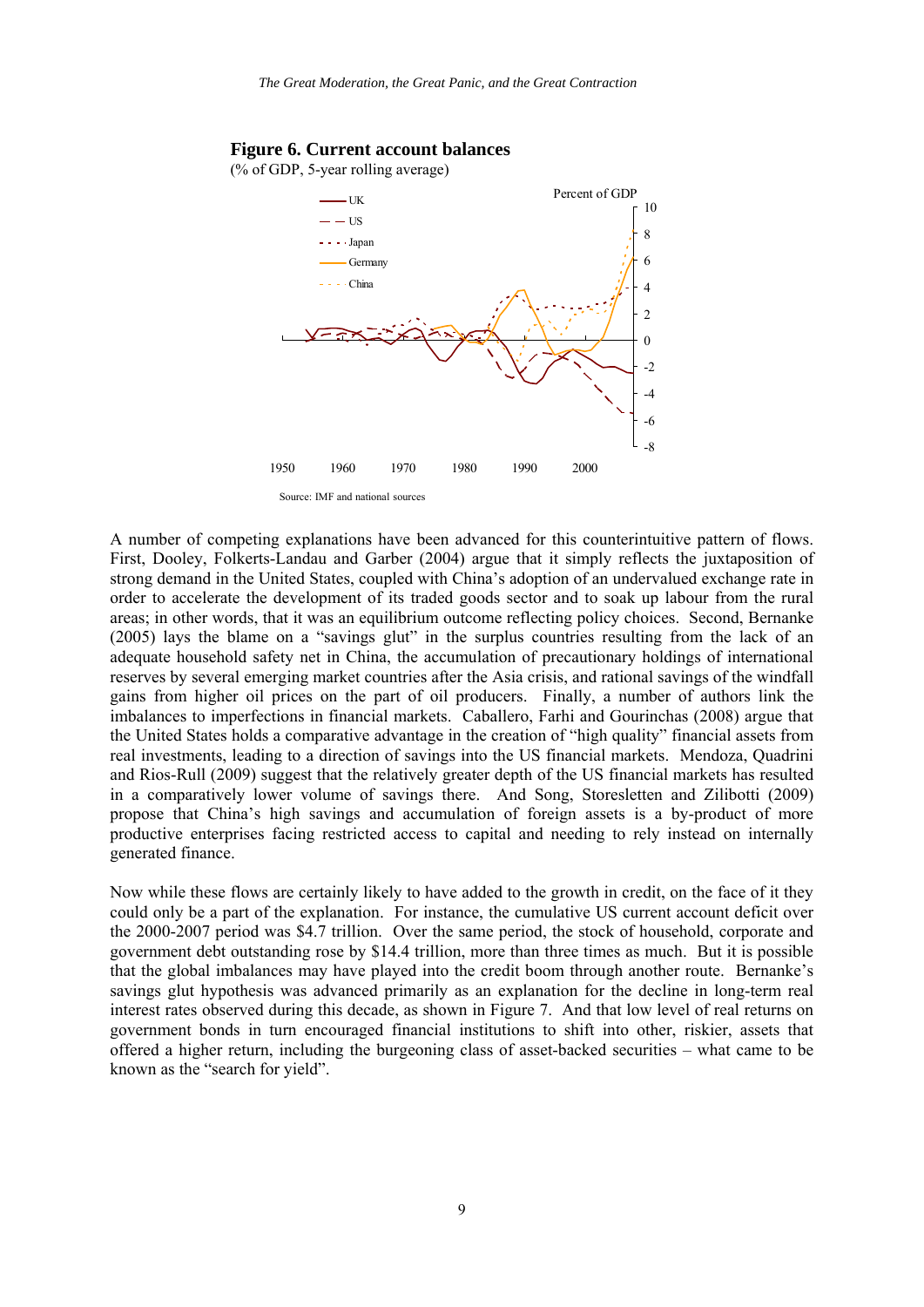**Figure 6. Current account balances**

## (% of GDP, 5-year rolling average) Source: IMF and national sources 1950 1960 1970 1980 1990 2000  $-1$ <sub>IK</sub>  $\equiv$   $\equiv$  US  $- -$  Japan - Germany  $- - \cdot$ China Percent of GDP

-8 -6 -4 -2  $\Omega$  $\mathcal{L}$ 4 6 8 10

A number of competing explanations have been advanced for this counterintuitive pattern of flows. First, Dooley, Folkerts-Landau and Garber (2004) argue that it simply reflects the juxtaposition of strong demand in the United States, coupled with China's adoption of an undervalued exchange rate in order to accelerate the development of its traded goods sector and to soak up labour from the rural areas; in other words, that it was an equilibrium outcome reflecting policy choices. Second, Bernanke (2005) lays the blame on a "savings glut" in the surplus countries resulting from the lack of an adequate household safety net in China, the accumulation of precautionary holdings of international reserves by several emerging market countries after the Asia crisis, and rational savings of the windfall gains from higher oil prices on the part of oil producers. Finally, a number of authors link the imbalances to imperfections in financial markets. Caballero, Farhi and Gourinchas (2008) argue that the United States holds a comparative advantage in the creation of "high quality" financial assets from real investments, leading to a direction of savings into the US financial markets. Mendoza, Quadrini and Rios-Rull (2009) suggest that the relatively greater depth of the US financial markets has resulted in a comparatively lower volume of savings there. And Song, Storesletten and Zilibotti (2009) propose that China's high savings and accumulation of foreign assets is a by-product of more productive enterprises facing restricted access to capital and needing to rely instead on internally generated finance.

Now while these flows are certainly likely to have added to the growth in credit, on the face of it they could only be a part of the explanation. For instance, the cumulative US current account deficit over the 2000-2007 period was \$4.7 trillion. Over the same period, the stock of household, corporate and government debt outstanding rose by \$14.4 trillion, more than three times as much. But it is possible that the global imbalances may have played into the credit boom through another route. Bernanke's savings glut hypothesis was advanced primarily as an explanation for the decline in long-term real interest rates observed during this decade, as shown in Figure 7. And that low level of real returns on government bonds in turn encouraged financial institutions to shift into other, riskier, assets that offered a higher return, including the burgeoning class of asset-backed securities – what came to be known as the "search for yield".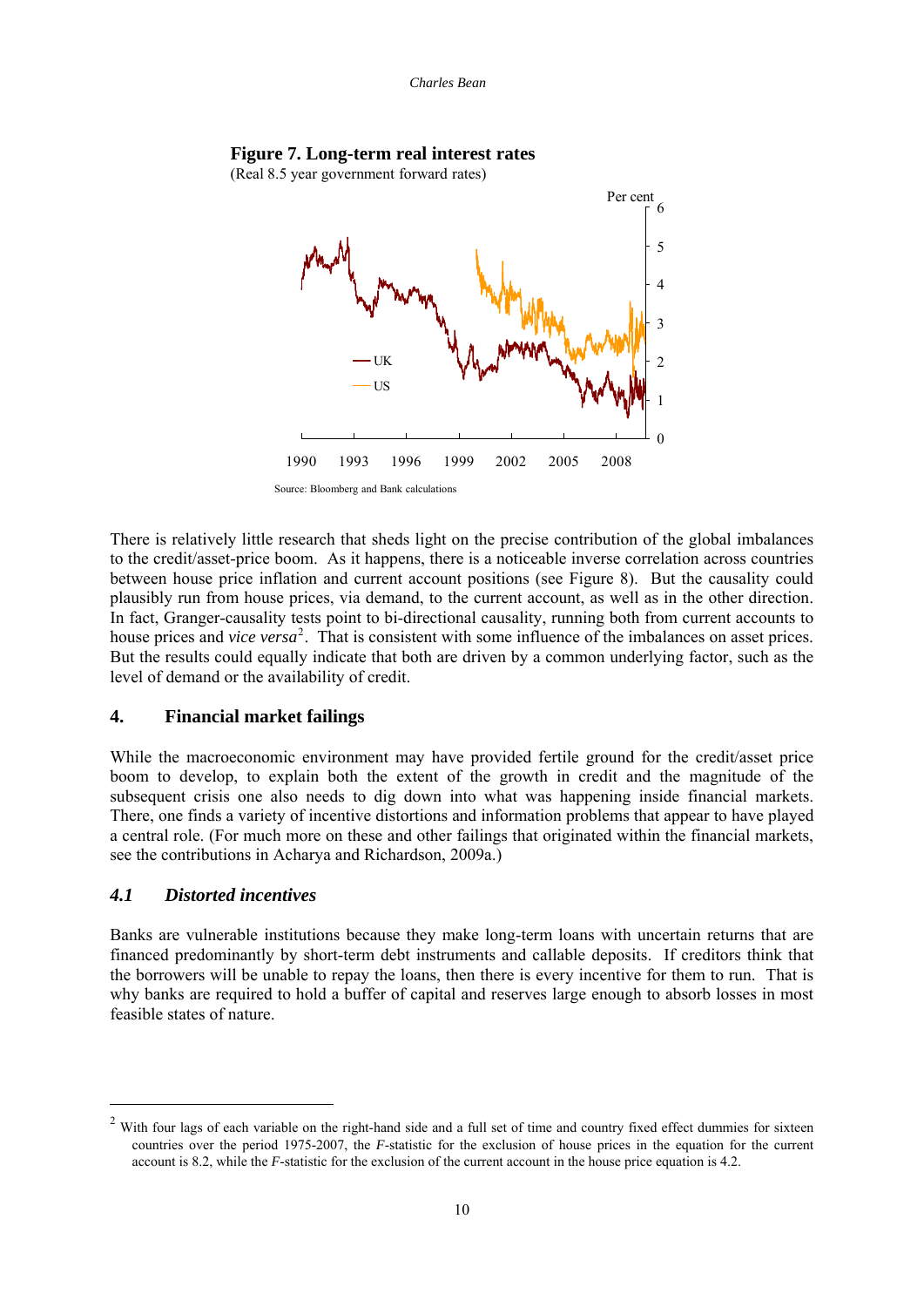

#### **Figure 7. Long-term real interest rates**

Source: Bloomberg and Bank calculations

There is relatively little research that sheds light on the precise contribution of the global imbalances to the credit/asset-price boom. As it happens, there is a noticeable inverse correlation across countries between house price inflation and current account positions (see Figure 8). But the causality could plausibly run from house prices, via demand, to the current account, as well as in the other direction. In fact, Granger-causality tests point to bi-directional causality, running both from current accounts to house prices and *vice versa*<sup>[2](#page-15-0)</sup>. That is consistent with some influence of the imbalances on asset prices. But the results could equally indicate that both are driven by a common underlying factor, such as the level of demand or the availability of credit.

#### **4. Financial market failings**

While the macroeconomic environment may have provided fertile ground for the credit/asset price boom to develop, to explain both the extent of the growth in credit and the magnitude of the subsequent crisis one also needs to dig down into what was happening inside financial markets. There, one finds a variety of incentive distortions and information problems that appear to have played a central role. (For much more on these and other failings that originated within the financial markets, see the contributions in Acharya and Richardson, 2009a.)

## *4.1 Distorted incentives*

1

Banks are vulnerable institutions because they make long-term loans with uncertain returns that are financed predominantly by short-term debt instruments and callable deposits. If creditors think that the borrowers will be unable to repay the loans, then there is every incentive for them to run. That is why banks are required to hold a buffer of capital and reserves large enough to absorb losses in most feasible states of nature.

<span id="page-15-0"></span> $2$  With four lags of each variable on the right-hand side and a full set of time and country fixed effect dummies for sixteen countries over the period 1975-2007, the *F*-statistic for the exclusion of house prices in the equation for the current account is 8.2, while the *F*-statistic for the exclusion of the current account in the house price equation is 4.2.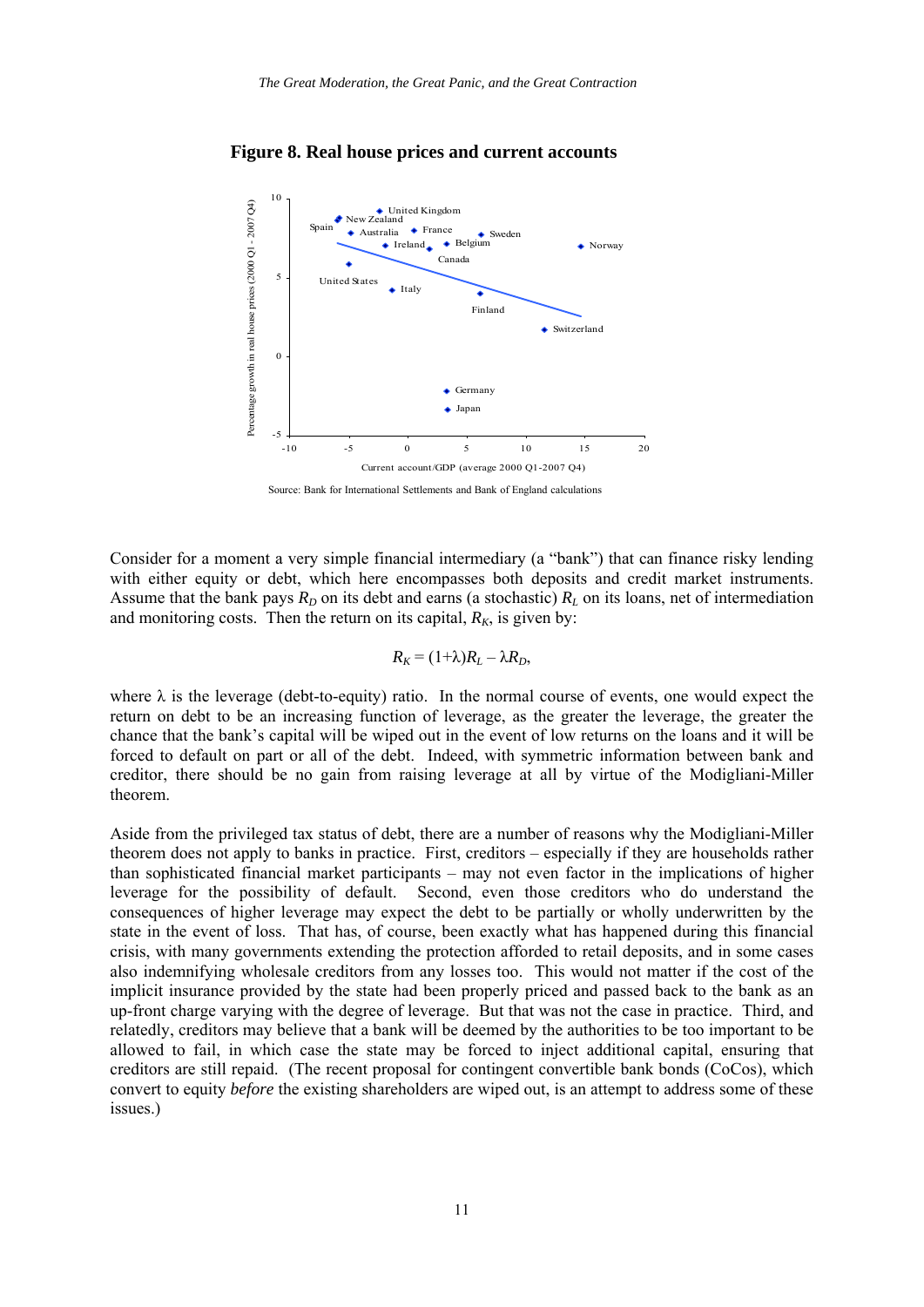

**Figure 8. Real house prices and current accounts**



Consider for a moment a very simple financial intermediary (a "bank") that can finance risky lending with either equity or debt, which here encompasses both deposits and credit market instruments. Assume that the bank pays  $R_D$  on its debt and earns (a stochastic)  $R_L$  on its loans, net of intermediation and monitoring costs. Then the return on its capital,  $R_K$ , is given by:

$$
R_K = (1+\lambda)R_L - \lambda R_D,
$$

where  $\lambda$  is the leverage (debt-to-equity) ratio. In the normal course of events, one would expect the return on debt to be an increasing function of leverage, as the greater the leverage, the greater the chance that the bank's capital will be wiped out in the event of low returns on the loans and it will be forced to default on part or all of the debt. Indeed, with symmetric information between bank and creditor, there should be no gain from raising leverage at all by virtue of the Modigliani-Miller theorem.

Aside from the privileged tax status of debt, there are a number of reasons why the Modigliani-Miller theorem does not apply to banks in practice. First, creditors – especially if they are households rather than sophisticated financial market participants – may not even factor in the implications of higher leverage for the possibility of default. Second, even those creditors who do understand the consequences of higher leverage may expect the debt to be partially or wholly underwritten by the state in the event of loss. That has, of course, been exactly what has happened during this financial crisis, with many governments extending the protection afforded to retail deposits, and in some cases also indemnifying wholesale creditors from any losses too. This would not matter if the cost of the implicit insurance provided by the state had been properly priced and passed back to the bank as an up-front charge varying with the degree of leverage. But that was not the case in practice. Third, and relatedly, creditors may believe that a bank will be deemed by the authorities to be too important to be allowed to fail, in which case the state may be forced to inject additional capital, ensuring that creditors are still repaid. (The recent proposal for contingent convertible bank bonds (CoCos), which convert to equity *before* the existing shareholders are wiped out, is an attempt to address some of these issues.)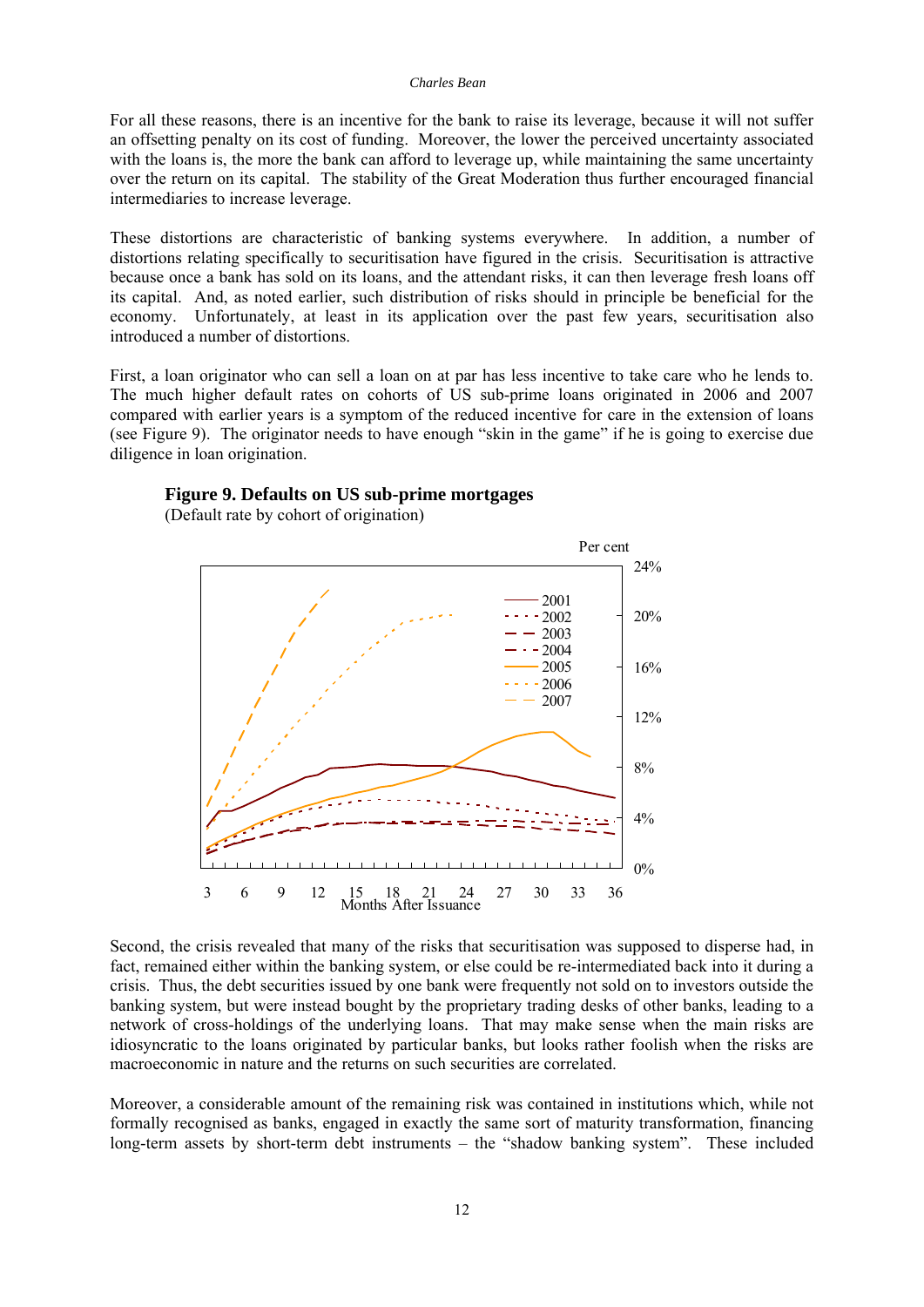For all these reasons, there is an incentive for the bank to raise its leverage, because it will not suffer an offsetting penalty on its cost of funding. Moreover, the lower the perceived uncertainty associated with the loans is, the more the bank can afford to leverage up, while maintaining the same uncertainty over the return on its capital. The stability of the Great Moderation thus further encouraged financial intermediaries to increase leverage.

These distortions are characteristic of banking systems everywhere. In addition, a number of distortions relating specifically to securitisation have figured in the crisis. Securitisation is attractive because once a bank has sold on its loans, and the attendant risks, it can then leverage fresh loans off its capital. And, as noted earlier, such distribution of risks should in principle be beneficial for the economy. Unfortunately, at least in its application over the past few years, securitisation also introduced a number of distortions.

First, a loan originator who can sell a loan on at par has less incentive to take care who he lends to. The much higher default rates on cohorts of US sub-prime loans originated in 2006 and 2007 compared with earlier years is a symptom of the reduced incentive for care in the extension of loans (see Figure 9). The originator needs to have enough "skin in the game" if he is going to exercise due diligence in loan origination.

#### **Figure 9. Defaults on US sub-prime mortgages**

0% 4% 8% 12% 16% 20% 24% 3 6 9 12 15 18 21 24 27 30 33 36 Months After Issuance 2001 2002 2003 2004 2005 2006 2007 Per cent

(Default rate by cohort of origination)

Second, the crisis revealed that many of the risks that securitisation was supposed to disperse had, in fact, remained either within the banking system, or else could be re-intermediated back into it during a crisis. Thus, the debt securities issued by one bank were frequently not sold on to investors outside the banking system, but were instead bought by the proprietary trading desks of other banks, leading to a network of cross-holdings of the underlying loans. That may make sense when the main risks are idiosyncratic to the loans originated by particular banks, but looks rather foolish when the risks are macroeconomic in nature and the returns on such securities are correlated.

Moreover, a considerable amount of the remaining risk was contained in institutions which, while not formally recognised as banks, engaged in exactly the same sort of maturity transformation, financing long-term assets by short-term debt instruments – the "shadow banking system". These included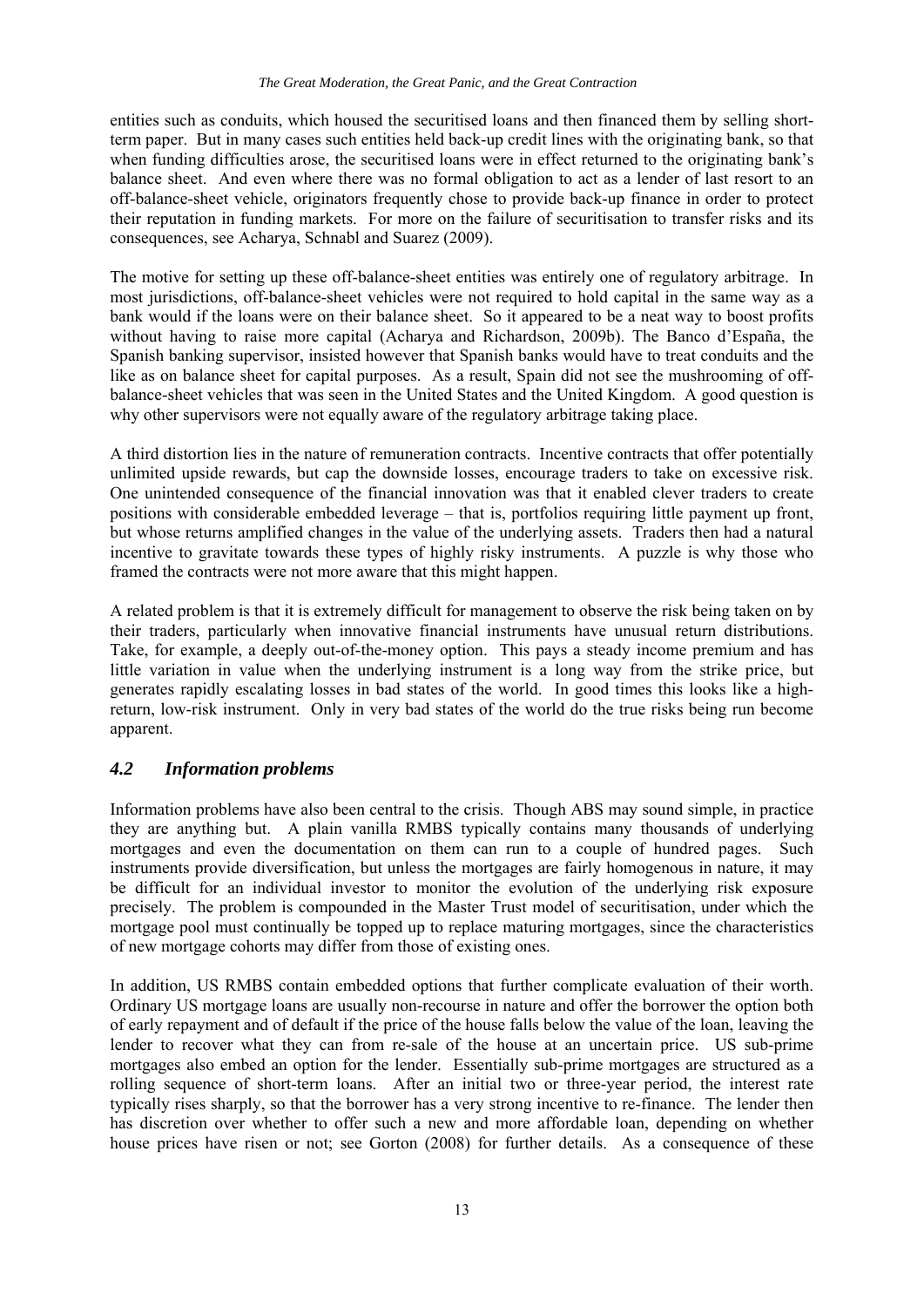entities such as conduits, which housed the securitised loans and then financed them by selling shortterm paper. But in many cases such entities held back-up credit lines with the originating bank, so that when funding difficulties arose, the securitised loans were in effect returned to the originating bank's balance sheet. And even where there was no formal obligation to act as a lender of last resort to an off-balance-sheet vehicle, originators frequently chose to provide back-up finance in order to protect their reputation in funding markets. For more on the failure of securitisation to transfer risks and its consequences, see Acharya, Schnabl and Suarez (2009).

The motive for setting up these off-balance-sheet entities was entirely one of regulatory arbitrage. In most jurisdictions, off-balance-sheet vehicles were not required to hold capital in the same way as a bank would if the loans were on their balance sheet. So it appeared to be a neat way to boost profits without having to raise more capital (Acharya and Richardson, 2009b). The Banco d'España, the Spanish banking supervisor, insisted however that Spanish banks would have to treat conduits and the like as on balance sheet for capital purposes. As a result, Spain did not see the mushrooming of offbalance-sheet vehicles that was seen in the United States and the United Kingdom. A good question is why other supervisors were not equally aware of the regulatory arbitrage taking place.

A third distortion lies in the nature of remuneration contracts. Incentive contracts that offer potentially unlimited upside rewards, but cap the downside losses, encourage traders to take on excessive risk. One unintended consequence of the financial innovation was that it enabled clever traders to create positions with considerable embedded leverage – that is, portfolios requiring little payment up front, but whose returns amplified changes in the value of the underlying assets. Traders then had a natural incentive to gravitate towards these types of highly risky instruments. A puzzle is why those who framed the contracts were not more aware that this might happen.

A related problem is that it is extremely difficult for management to observe the risk being taken on by their traders, particularly when innovative financial instruments have unusual return distributions. Take, for example, a deeply out-of-the-money option. This pays a steady income premium and has little variation in value when the underlying instrument is a long way from the strike price, but generates rapidly escalating losses in bad states of the world. In good times this looks like a highreturn, low-risk instrument. Only in very bad states of the world do the true risks being run become apparent.

## *4.2 Information problems*

Information problems have also been central to the crisis. Though ABS may sound simple, in practice they are anything but. A plain vanilla RMBS typically contains many thousands of underlying mortgages and even the documentation on them can run to a couple of hundred pages. Such instruments provide diversification, but unless the mortgages are fairly homogenous in nature, it may be difficult for an individual investor to monitor the evolution of the underlying risk exposure precisely. The problem is compounded in the Master Trust model of securitisation, under which the mortgage pool must continually be topped up to replace maturing mortgages, since the characteristics of new mortgage cohorts may differ from those of existing ones.

In addition, US RMBS contain embedded options that further complicate evaluation of their worth. Ordinary US mortgage loans are usually non-recourse in nature and offer the borrower the option both of early repayment and of default if the price of the house falls below the value of the loan, leaving the lender to recover what they can from re-sale of the house at an uncertain price. US sub-prime mortgages also embed an option for the lender. Essentially sub-prime mortgages are structured as a rolling sequence of short-term loans. After an initial two or three-year period, the interest rate typically rises sharply, so that the borrower has a very strong incentive to re-finance. The lender then has discretion over whether to offer such a new and more affordable loan, depending on whether house prices have risen or not; see Gorton (2008) for further details. As a consequence of these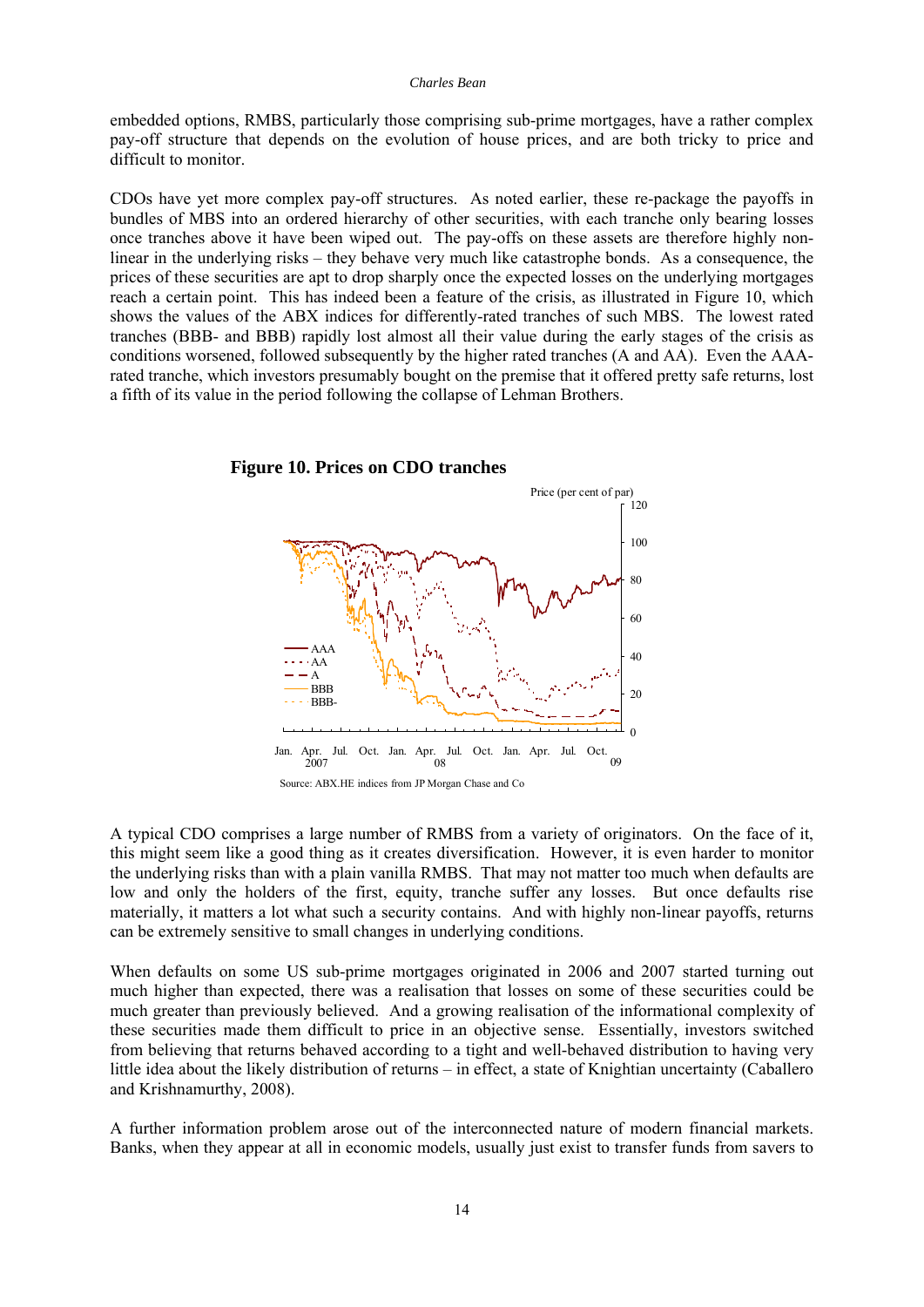embedded options, RMBS, particularly those comprising sub-prime mortgages, have a rather complex pay-off structure that depends on the evolution of house prices, and are both tricky to price and difficult to monitor.

CDOs have yet more complex pay-off structures. As noted earlier, these re-package the payoffs in bundles of MBS into an ordered hierarchy of other securities, with each tranche only bearing losses once tranches above it have been wiped out. The pay-offs on these assets are therefore highly nonlinear in the underlying risks – they behave very much like catastrophe bonds. As a consequence, the prices of these securities are apt to drop sharply once the expected losses on the underlying mortgages reach a certain point. This has indeed been a feature of the crisis, as illustrated in Figure 10, which shows the values of the ABX indices for differently-rated tranches of such MBS. The lowest rated tranches (BBB- and BBB) rapidly lost almost all their value during the early stages of the crisis as conditions worsened, followed subsequently by the higher rated tranches (A and AA). Even the AAArated tranche, which investors presumably bought on the premise that it offered pretty safe returns, lost a fifth of its value in the period following the collapse of Lehman Brothers.



**Figure 10. Prices on CDO tranches**

Source: ABX.HE indices from JP Morgan Chase and Co

A typical CDO comprises a large number of RMBS from a variety of originators. On the face of it, this might seem like a good thing as it creates diversification. However, it is even harder to monitor the underlying risks than with a plain vanilla RMBS. That may not matter too much when defaults are low and only the holders of the first, equity, tranche suffer any losses. But once defaults rise materially, it matters a lot what such a security contains. And with highly non-linear payoffs, returns can be extremely sensitive to small changes in underlying conditions.

When defaults on some US sub-prime mortgages originated in 2006 and 2007 started turning out much higher than expected, there was a realisation that losses on some of these securities could be much greater than previously believed. And a growing realisation of the informational complexity of these securities made them difficult to price in an objective sense. Essentially, investors switched from believing that returns behaved according to a tight and well-behaved distribution to having very little idea about the likely distribution of returns – in effect, a state of Knightian uncertainty (Caballero and Krishnamurthy, 2008).

A further information problem arose out of the interconnected nature of modern financial markets. Banks, when they appear at all in economic models, usually just exist to transfer funds from savers to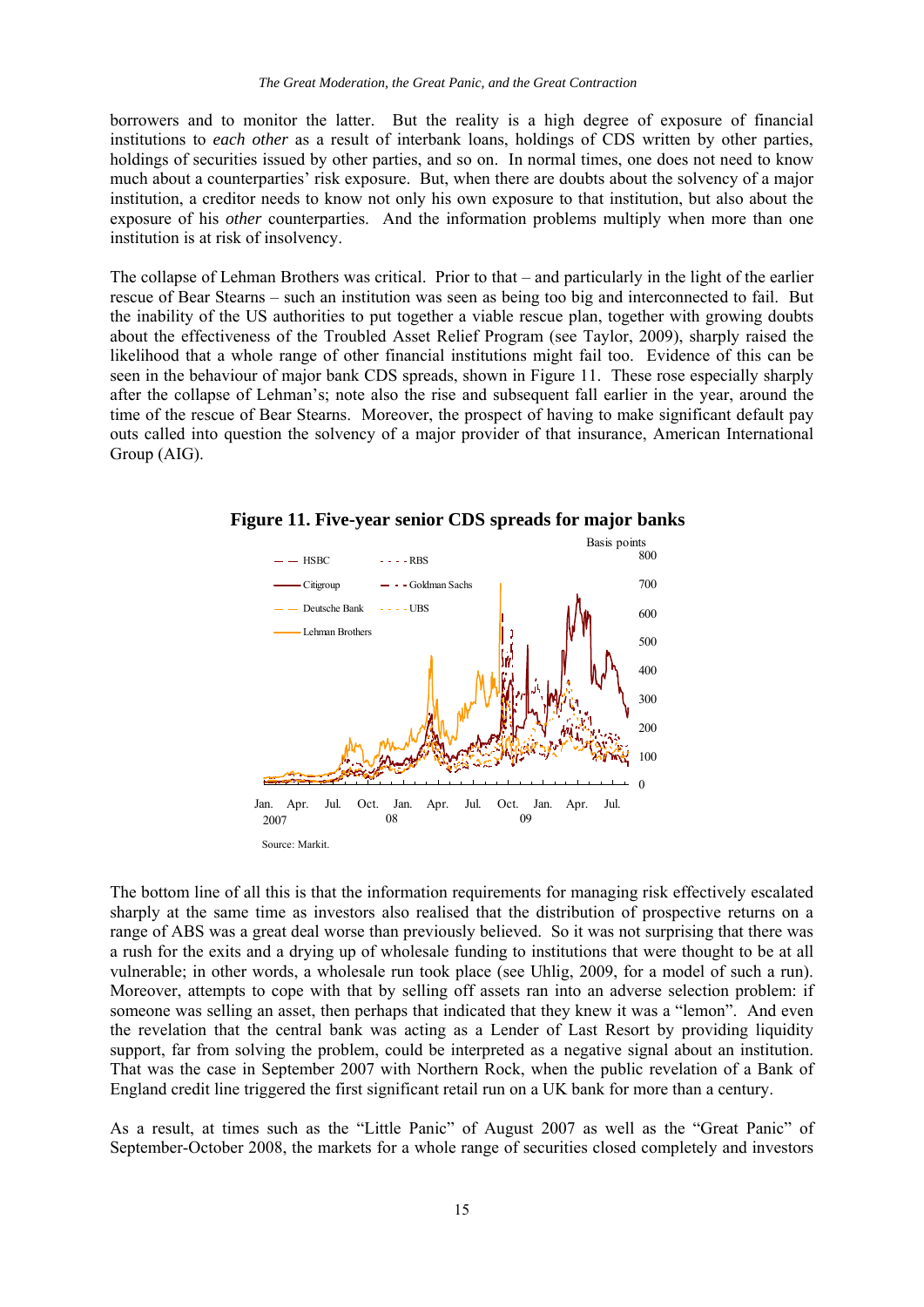borrowers and to monitor the latter. But the reality is a high degree of exposure of financial institutions to *each other* as a result of interbank loans, holdings of CDS written by other parties, holdings of securities issued by other parties, and so on. In normal times, one does not need to know much about a counterparties' risk exposure. But, when there are doubts about the solvency of a major institution, a creditor needs to know not only his own exposure to that institution, but also about the exposure of his *other* counterparties. And the information problems multiply when more than one institution is at risk of insolvency.

The collapse of Lehman Brothers was critical. Prior to that – and particularly in the light of the earlier rescue of Bear Stearns – such an institution was seen as being too big and interconnected to fail. But the inability of the US authorities to put together a viable rescue plan, together with growing doubts about the effectiveness of the Troubled Asset Relief Program (see Taylor, 2009), sharply raised the likelihood that a whole range of other financial institutions might fail too. Evidence of this can be seen in the behaviour of major bank CDS spreads, shown in Figure 11. These rose especially sharply after the collapse of Lehman's; note also the rise and subsequent fall earlier in the year, around the time of the rescue of Bear Stearns. Moreover, the prospect of having to make significant default pay outs called into question the solvency of a major provider of that insurance, American International Group (AIG).



**Figure 11. Five-year senior CDS spreads for major banks**

The bottom line of all this is that the information requirements for managing risk effectively escalated sharply at the same time as investors also realised that the distribution of prospective returns on a range of ABS was a great deal worse than previously believed. So it was not surprising that there was a rush for the exits and a drying up of wholesale funding to institutions that were thought to be at all vulnerable; in other words, a wholesale run took place (see Uhlig, 2009, for a model of such a run). Moreover, attempts to cope with that by selling off assets ran into an adverse selection problem: if someone was selling an asset, then perhaps that indicated that they knew it was a "lemon". And even the revelation that the central bank was acting as a Lender of Last Resort by providing liquidity support, far from solving the problem, could be interpreted as a negative signal about an institution. That was the case in September 2007 with Northern Rock, when the public revelation of a Bank of England credit line triggered the first significant retail run on a UK bank for more than a century.

As a result, at times such as the "Little Panic" of August 2007 as well as the "Great Panic" of September-October 2008, the markets for a whole range of securities closed completely and investors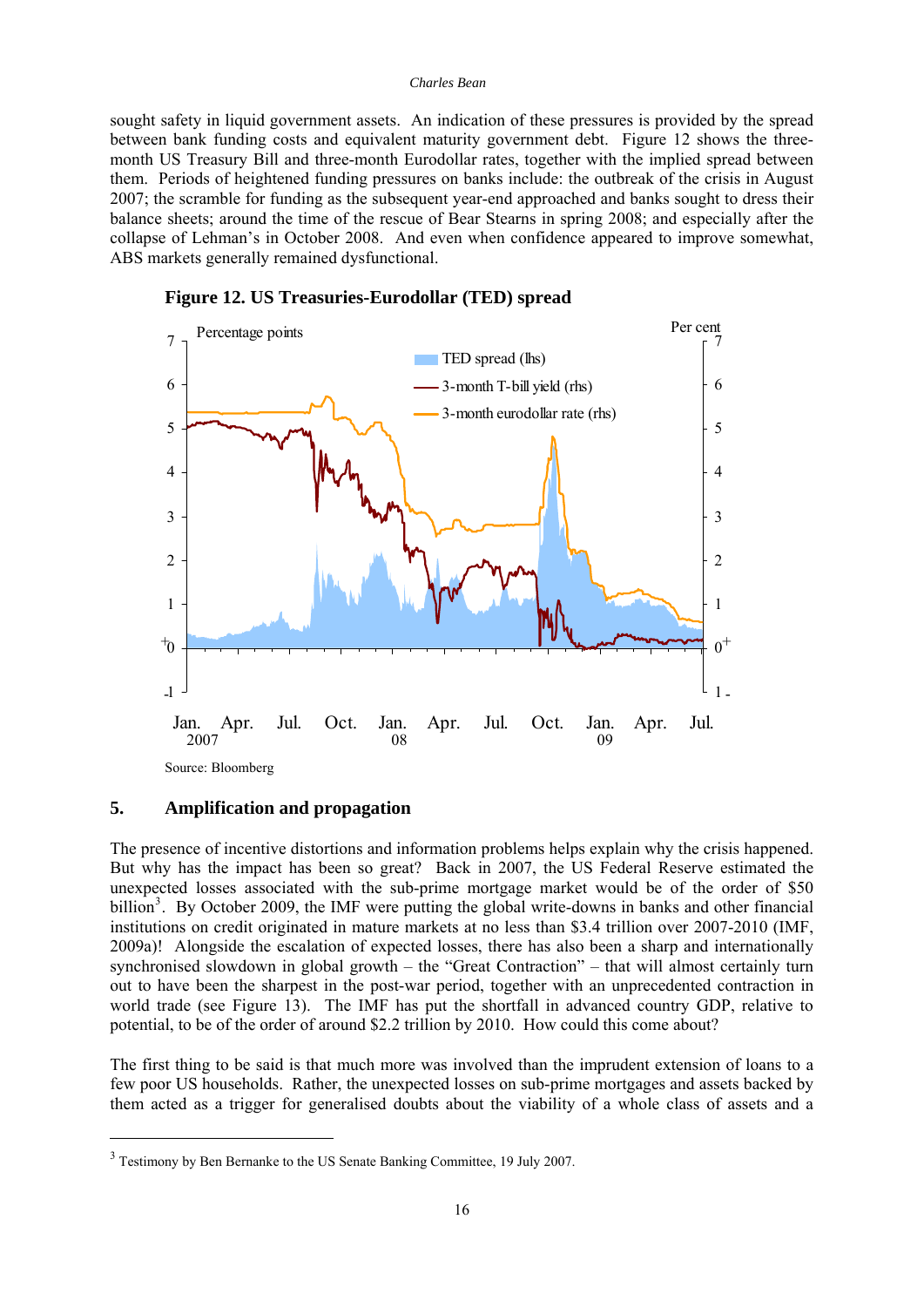sought safety in liquid government assets. An indication of these pressures is provided by the spread between bank funding costs and equivalent maturity government debt. Figure 12 shows the threemonth US Treasury Bill and three-month Eurodollar rates, together with the implied spread between them. Periods of heightened funding pressures on banks include: the outbreak of the crisis in August 2007; the scramble for funding as the subsequent year-end approached and banks sought to dress their balance sheets; around the time of the rescue of Bear Stearns in spring 2008; and especially after the collapse of Lehman's in October 2008. And even when confidence appeared to improve somewhat, ABS markets generally remained dysfunctional.





Source: Bloomberg

1

#### **5. Amplification and propagation**

The presence of incentive distortions and information problems helps explain why the crisis happened. But why has the impact has been so great? Back in 2007, the US Federal Reserve estimated the unexpected losses associated with the sub-prime mortgage market would be of the order of \$50 billion<sup>[3](#page-21-0)</sup>. By October 2009, the IMF were putting the global write-downs in banks and other financial institutions on credit originated in mature markets at no less than \$3.4 trillion over 2007-2010 (IMF, 2009a)! Alongside the escalation of expected losses, there has also been a sharp and internationally synchronised slowdown in global growth – the "Great Contraction" – that will almost certainly turn out to have been the sharpest in the post-war period, together with an unprecedented contraction in world trade (see Figure 13). The IMF has put the shortfall in advanced country GDP, relative to potential, to be of the order of around \$2.2 trillion by 2010. How could this come about?

The first thing to be said is that much more was involved than the imprudent extension of loans to a few poor US households. Rather, the unexpected losses on sub-prime mortgages and assets backed by them acted as a trigger for generalised doubts about the viability of a whole class of assets and a

<span id="page-21-0"></span><sup>&</sup>lt;sup>3</sup> Testimony by Ben Bernanke to the US Senate Banking Committee, 19 July 2007.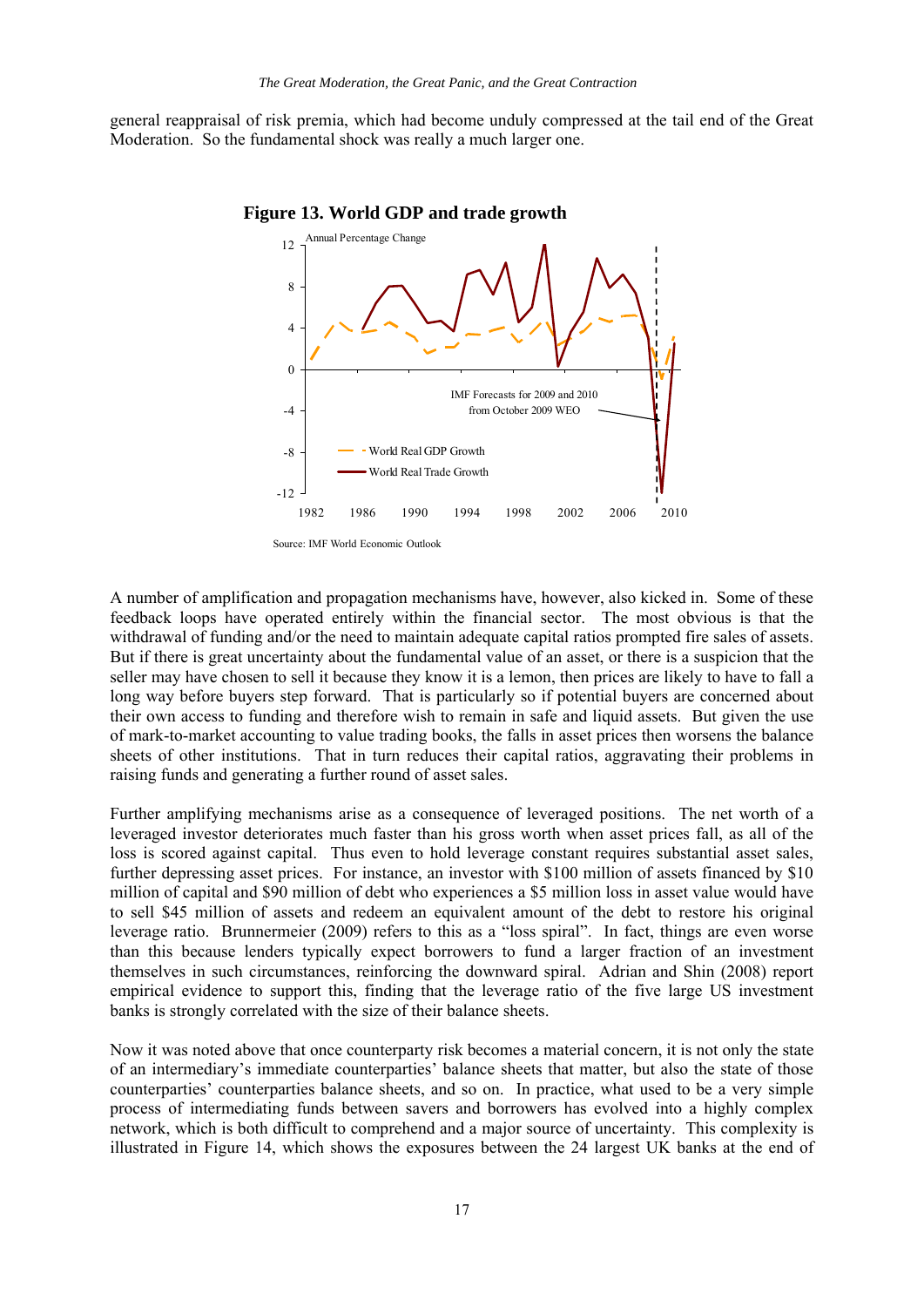general reappraisal of risk premia, which had become unduly compressed at the tail end of the Great Moderation. So the fundamental shock was really a much larger one.



**Figure 13. World GDP and trade growth**

Source: IMF World Economic Outlook

A number of amplification and propagation mechanisms have, however, also kicked in. Some of these feedback loops have operated entirely within the financial sector. The most obvious is that the withdrawal of funding and/or the need to maintain adequate capital ratios prompted fire sales of assets. But if there is great uncertainty about the fundamental value of an asset, or there is a suspicion that the seller may have chosen to sell it because they know it is a lemon, then prices are likely to have to fall a long way before buyers step forward. That is particularly so if potential buyers are concerned about their own access to funding and therefore wish to remain in safe and liquid assets. But given the use of mark-to-market accounting to value trading books, the falls in asset prices then worsens the balance sheets of other institutions. That in turn reduces their capital ratios, aggravating their problems in raising funds and generating a further round of asset sales.

Further amplifying mechanisms arise as a consequence of leveraged positions. The net worth of a leveraged investor deteriorates much faster than his gross worth when asset prices fall, as all of the loss is scored against capital. Thus even to hold leverage constant requires substantial asset sales, further depressing asset prices. For instance, an investor with \$100 million of assets financed by \$10 million of capital and \$90 million of debt who experiences a \$5 million loss in asset value would have to sell \$45 million of assets and redeem an equivalent amount of the debt to restore his original leverage ratio. Brunnermeier (2009) refers to this as a "loss spiral". In fact, things are even worse than this because lenders typically expect borrowers to fund a larger fraction of an investment themselves in such circumstances, reinforcing the downward spiral. Adrian and Shin (2008) report empirical evidence to support this, finding that the leverage ratio of the five large US investment banks is strongly correlated with the size of their balance sheets.

Now it was noted above that once counterparty risk becomes a material concern, it is not only the state of an intermediary's immediate counterparties' balance sheets that matter, but also the state of those counterparties' counterparties balance sheets, and so on. In practice, what used to be a very simple process of intermediating funds between savers and borrowers has evolved into a highly complex network, which is both difficult to comprehend and a major source of uncertainty. This complexity is illustrated in Figure 14, which shows the exposures between the 24 largest UK banks at the end of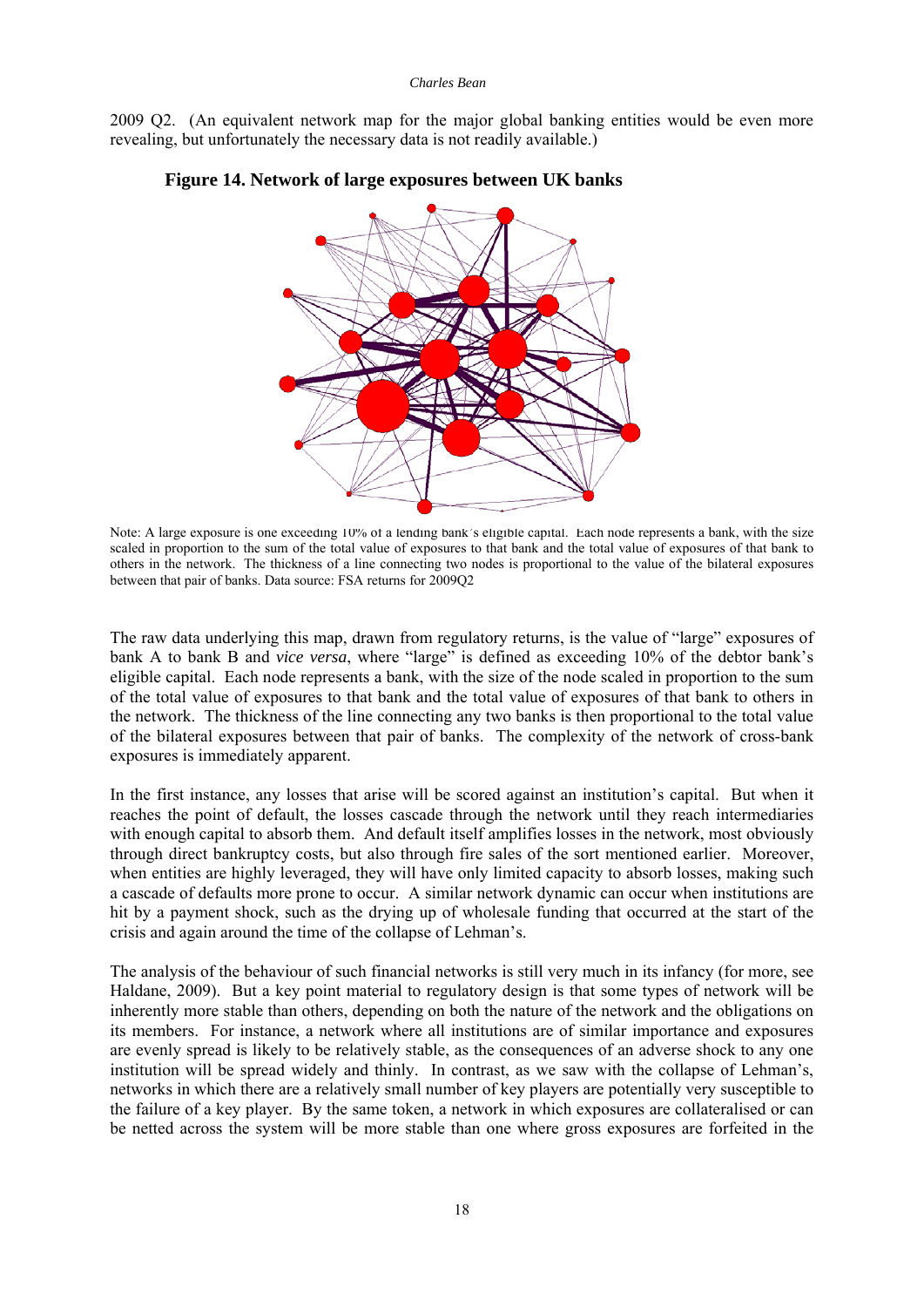2009 Q2. (An equivalent network map for the major global banking entities would be even more revealing, but unfortunately the necessary data is not readily available.)



#### **Figure 14. Network of large exposures between UK banks**

Note: A large exposure is one exceeding 10% of a lending bank's eligible capital. Each node represents a bank, with the size scaled in proportion to the sum of the total value of exposures to that bank and the total value of exposures of that bank to others in the network. The thickness of a line connecting two nodes is proportional to the value of the bilateral exposures between that pair of banks. Data source: FSA returns for 2009Q2

The raw data underlying this map, drawn from regulatory returns, is the value of "large" exposures of bank A to bank B and *vice versa*, where "large" is defined as exceeding 10% of the debtor bank's eligible capital. Each node represents a bank, with the size of the node scaled in proportion to the sum of the total value of exposures to that bank and the total value of exposures of that bank to others in the network. The thickness of the line connecting any two banks is then proportional to the total value of the bilateral exposures between that pair of banks. The complexity of the network of cross-bank exposures is immediately apparent.

In the first instance, any losses that arise will be scored against an institution's capital. But when it reaches the point of default, the losses cascade through the network until they reach intermediaries with enough capital to absorb them. And default itself amplifies losses in the network, most obviously through direct bankruptcy costs, but also through fire sales of the sort mentioned earlier. Moreover, when entities are highly leveraged, they will have only limited capacity to absorb losses, making such a cascade of defaults more prone to occur. A similar network dynamic can occur when institutions are hit by a payment shock, such as the drying up of wholesale funding that occurred at the start of the crisis and again around the time of the collapse of Lehman's.

The analysis of the behaviour of such financial networks is still very much in its infancy (for more, see Haldane, 2009). But a key point material to regulatory design is that some types of network will be inherently more stable than others, depending on both the nature of the network and the obligations on its members. For instance, a network where all institutions are of similar importance and exposures are evenly spread is likely to be relatively stable, as the consequences of an adverse shock to any one institution will be spread widely and thinly. In contrast, as we saw with the collapse of Lehman's, networks in which there are a relatively small number of key players are potentially very susceptible to the failure of a key player. By the same token, a network in which exposures are collateralised or can be netted across the system will be more stable than one where gross exposures are forfeited in the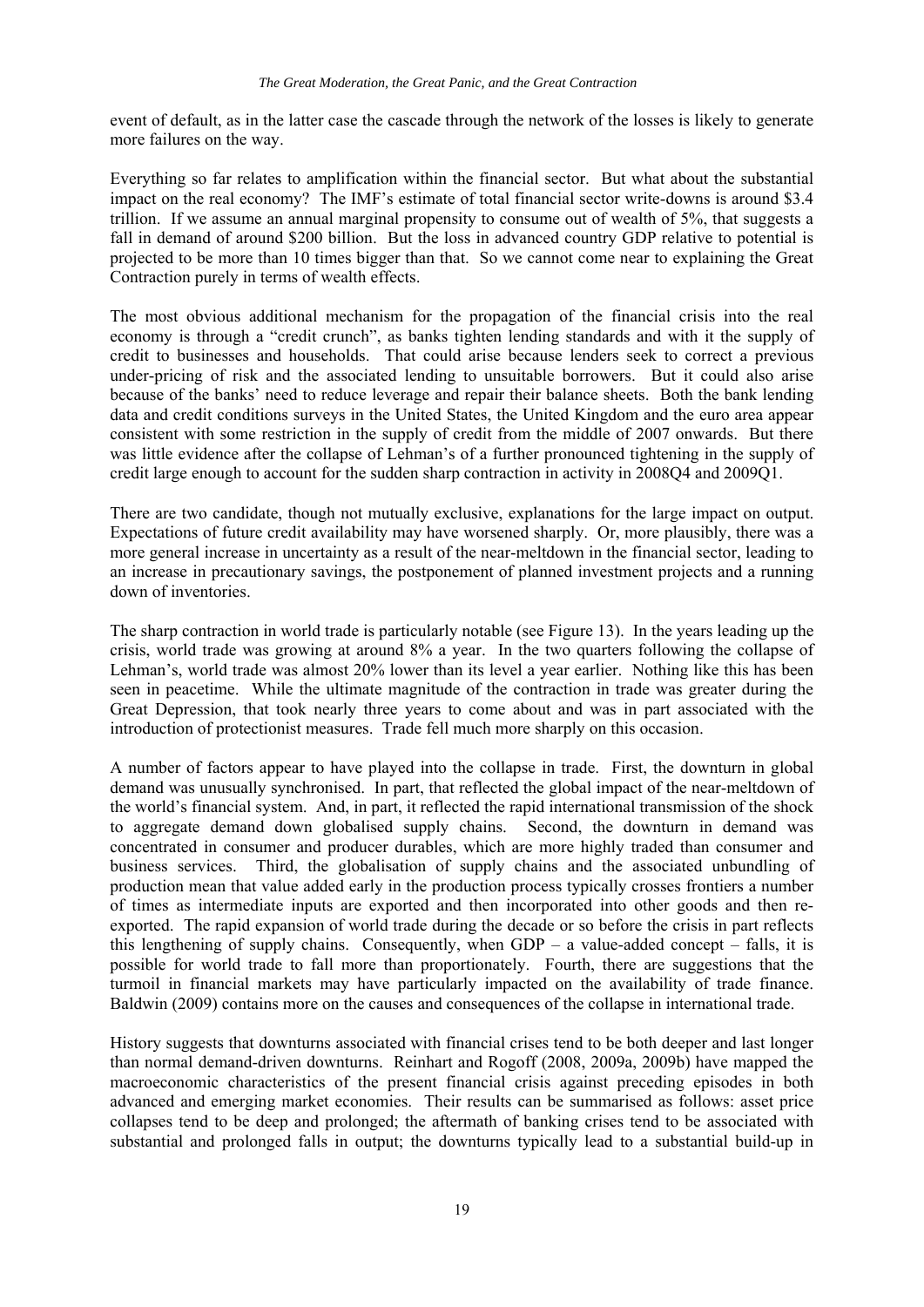event of default, as in the latter case the cascade through the network of the losses is likely to generate more failures on the way.

Everything so far relates to amplification within the financial sector. But what about the substantial impact on the real economy? The IMF's estimate of total financial sector write-downs is around \$3.4 trillion. If we assume an annual marginal propensity to consume out of wealth of 5%, that suggests a fall in demand of around \$200 billion. But the loss in advanced country GDP relative to potential is projected to be more than 10 times bigger than that. So we cannot come near to explaining the Great Contraction purely in terms of wealth effects.

The most obvious additional mechanism for the propagation of the financial crisis into the real economy is through a "credit crunch", as banks tighten lending standards and with it the supply of credit to businesses and households. That could arise because lenders seek to correct a previous under-pricing of risk and the associated lending to unsuitable borrowers. But it could also arise because of the banks' need to reduce leverage and repair their balance sheets. Both the bank lending data and credit conditions surveys in the United States, the United Kingdom and the euro area appear consistent with some restriction in the supply of credit from the middle of 2007 onwards. But there was little evidence after the collapse of Lehman's of a further pronounced tightening in the supply of credit large enough to account for the sudden sharp contraction in activity in 2008Q4 and 2009Q1.

There are two candidate, though not mutually exclusive, explanations for the large impact on output. Expectations of future credit availability may have worsened sharply. Or, more plausibly, there was a more general increase in uncertainty as a result of the near-meltdown in the financial sector, leading to an increase in precautionary savings, the postponement of planned investment projects and a running down of inventories.

The sharp contraction in world trade is particularly notable (see Figure 13). In the years leading up the crisis, world trade was growing at around 8% a year. In the two quarters following the collapse of Lehman's, world trade was almost 20% lower than its level a year earlier. Nothing like this has been seen in peacetime. While the ultimate magnitude of the contraction in trade was greater during the Great Depression, that took nearly three years to come about and was in part associated with the introduction of protectionist measures. Trade fell much more sharply on this occasion.

A number of factors appear to have played into the collapse in trade. First, the downturn in global demand was unusually synchronised. In part, that reflected the global impact of the near-meltdown of the world's financial system. And, in part, it reflected the rapid international transmission of the shock to aggregate demand down globalised supply chains. Second, the downturn in demand was concentrated in consumer and producer durables, which are more highly traded than consumer and business services. Third, the globalisation of supply chains and the associated unbundling of production mean that value added early in the production process typically crosses frontiers a number of times as intermediate inputs are exported and then incorporated into other goods and then reexported. The rapid expansion of world trade during the decade or so before the crisis in part reflects this lengthening of supply chains. Consequently, when  $GDP - a$  value-added concept – falls, it is possible for world trade to fall more than proportionately. Fourth, there are suggestions that the turmoil in financial markets may have particularly impacted on the availability of trade finance. Baldwin (2009) contains more on the causes and consequences of the collapse in international trade.

History suggests that downturns associated with financial crises tend to be both deeper and last longer than normal demand-driven downturns. Reinhart and Rogoff (2008, 2009a, 2009b) have mapped the macroeconomic characteristics of the present financial crisis against preceding episodes in both advanced and emerging market economies. Their results can be summarised as follows: asset price collapses tend to be deep and prolonged; the aftermath of banking crises tend to be associated with substantial and prolonged falls in output; the downturns typically lead to a substantial build-up in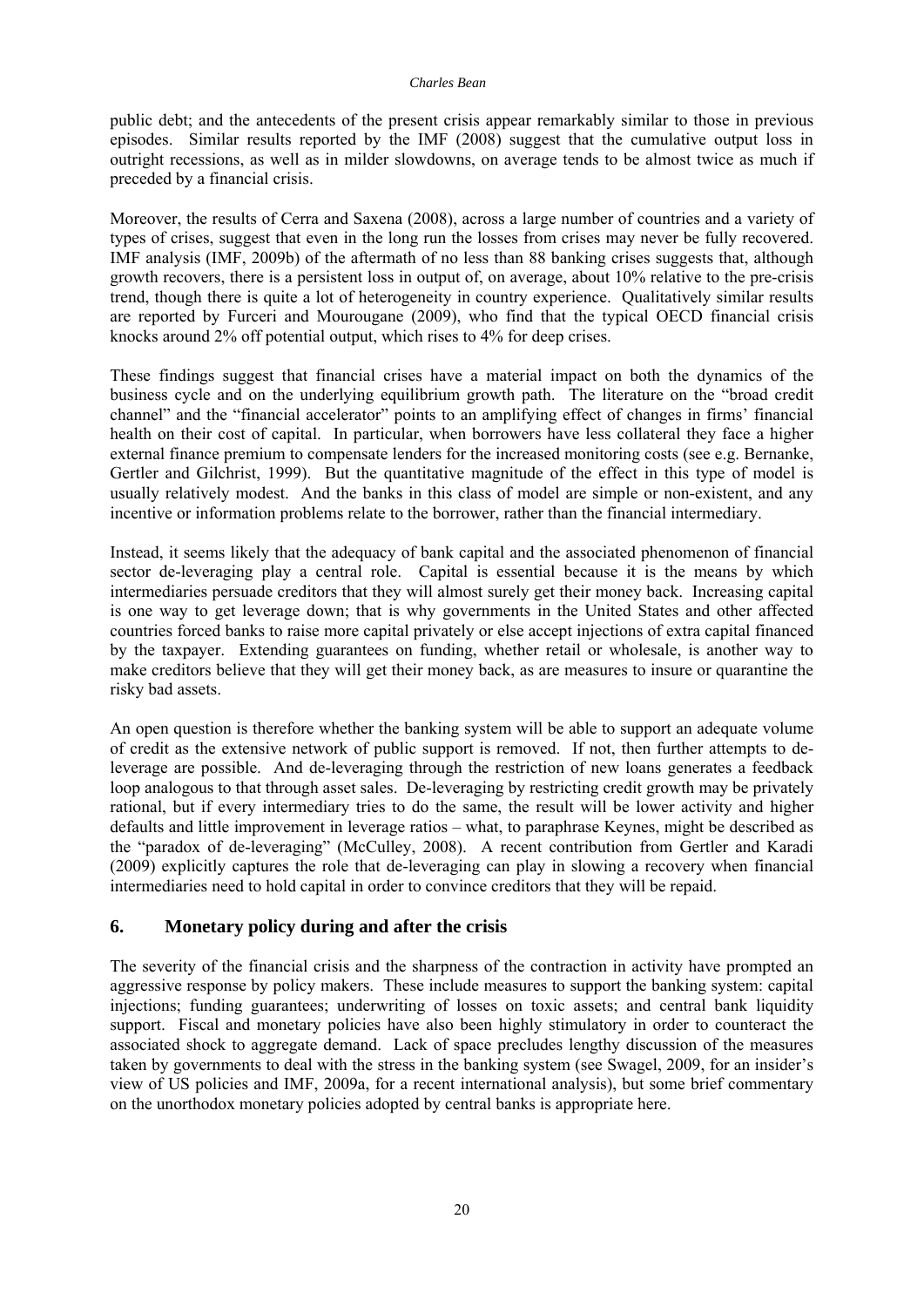public debt; and the antecedents of the present crisis appear remarkably similar to those in previous episodes. Similar results reported by the IMF (2008) suggest that the cumulative output loss in outright recessions, as well as in milder slowdowns, on average tends to be almost twice as much if preceded by a financial crisis.

Moreover, the results of Cerra and Saxena (2008), across a large number of countries and a variety of types of crises, suggest that even in the long run the losses from crises may never be fully recovered. IMF analysis (IMF, 2009b) of the aftermath of no less than 88 banking crises suggests that, although growth recovers, there is a persistent loss in output of, on average, about 10% relative to the pre-crisis trend, though there is quite a lot of heterogeneity in country experience. Qualitatively similar results are reported by Furceri and Mourougane (2009), who find that the typical OECD financial crisis knocks around 2% off potential output, which rises to 4% for deep crises.

These findings suggest that financial crises have a material impact on both the dynamics of the business cycle and on the underlying equilibrium growth path. The literature on the "broad credit channel" and the "financial accelerator" points to an amplifying effect of changes in firms' financial health on their cost of capital. In particular, when borrowers have less collateral they face a higher external finance premium to compensate lenders for the increased monitoring costs (see e.g. Bernanke, Gertler and Gilchrist, 1999). But the quantitative magnitude of the effect in this type of model is usually relatively modest. And the banks in this class of model are simple or non-existent, and any incentive or information problems relate to the borrower, rather than the financial intermediary.

Instead, it seems likely that the adequacy of bank capital and the associated phenomenon of financial sector de-leveraging play a central role. Capital is essential because it is the means by which intermediaries persuade creditors that they will almost surely get their money back. Increasing capital is one way to get leverage down; that is why governments in the United States and other affected countries forced banks to raise more capital privately or else accept injections of extra capital financed by the taxpayer. Extending guarantees on funding, whether retail or wholesale, is another way to make creditors believe that they will get their money back, as are measures to insure or quarantine the risky bad assets.

An open question is therefore whether the banking system will be able to support an adequate volume of credit as the extensive network of public support is removed. If not, then further attempts to deleverage are possible. And de-leveraging through the restriction of new loans generates a feedback loop analogous to that through asset sales. De-leveraging by restricting credit growth may be privately rational, but if every intermediary tries to do the same, the result will be lower activity and higher defaults and little improvement in leverage ratios – what, to paraphrase Keynes, might be described as the "paradox of de-leveraging" (McCulley, 2008). A recent contribution from Gertler and Karadi (2009) explicitly captures the role that de-leveraging can play in slowing a recovery when financial intermediaries need to hold capital in order to convince creditors that they will be repaid.

## **6. Monetary policy during and after the crisis**

The severity of the financial crisis and the sharpness of the contraction in activity have prompted an aggressive response by policy makers. These include measures to support the banking system: capital injections; funding guarantees; underwriting of losses on toxic assets; and central bank liquidity support. Fiscal and monetary policies have also been highly stimulatory in order to counteract the associated shock to aggregate demand. Lack of space precludes lengthy discussion of the measures taken by governments to deal with the stress in the banking system (see Swagel, 2009, for an insider's view of US policies and IMF, 2009a, for a recent international analysis), but some brief commentary on the unorthodox monetary policies adopted by central banks is appropriate here.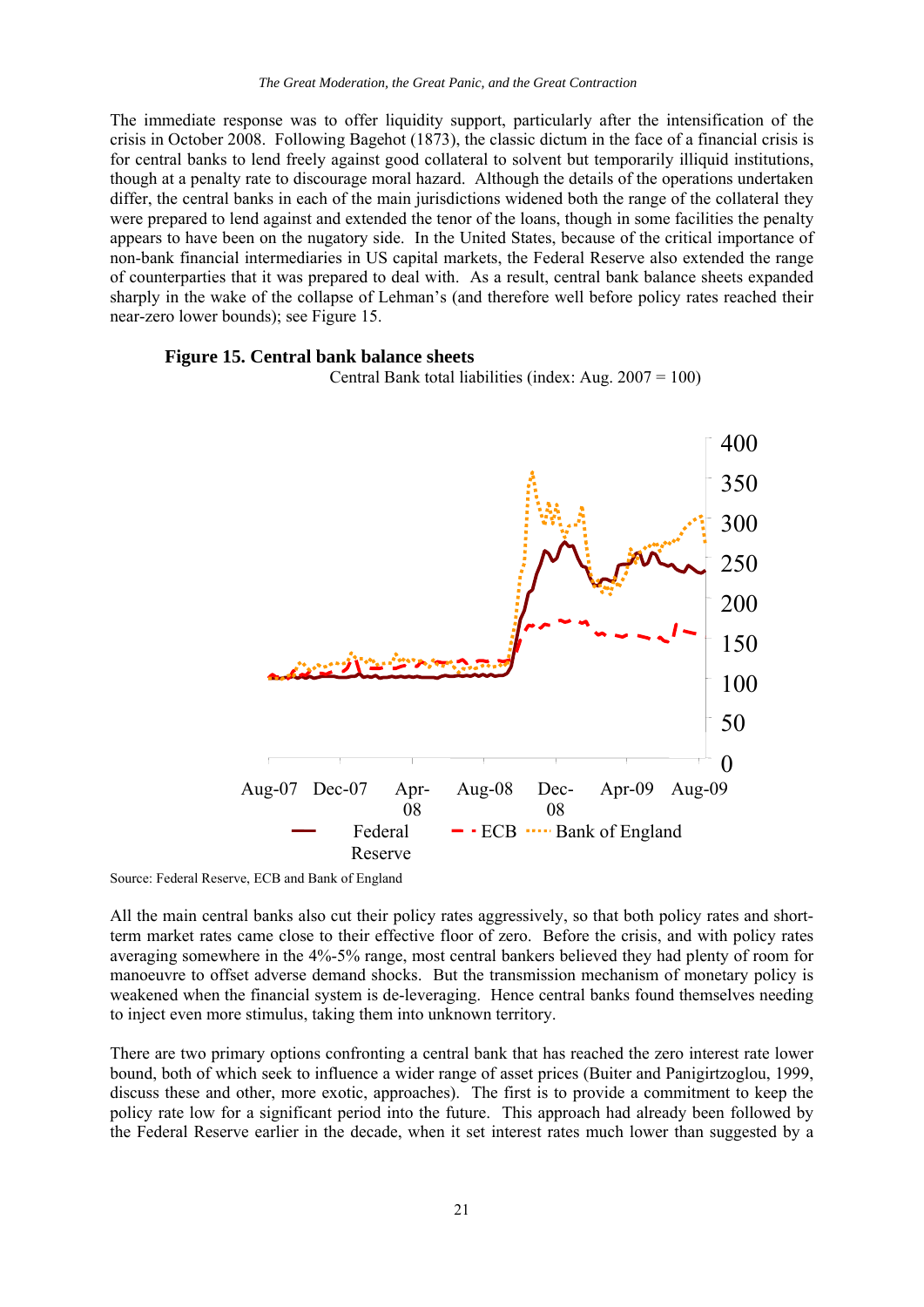The immediate response was to offer liquidity support, particularly after the intensification of the crisis in October 2008. Following Bagehot (1873), the classic dictum in the face of a financial crisis is for central banks to lend freely against good collateral to solvent but temporarily illiquid institutions, though at a penalty rate to discourage moral hazard. Although the details of the operations undertaken differ, the central banks in each of the main jurisdictions widened both the range of the collateral they were prepared to lend against and extended the tenor of the loans, though in some facilities the penalty appears to have been on the nugatory side. In the United States, because of the critical importance of non-bank financial intermediaries in US capital markets, the Federal Reserve also extended the range of counterparties that it was prepared to deal with. As a result, central bank balance sheets expanded sharply in the wake of the collapse of Lehman's (and therefore well before policy rates reached their near-zero lower bounds); see Figure 15.

#### **Figure 15. Central bank balance sheets**

Central Bank total liabilities (index: Aug. 2007 = 100)



Source: Federal Reserve, ECB and Bank of England

All the main central banks also cut their policy rates aggressively, so that both policy rates and shortterm market rates came close to their effective floor of zero. Before the crisis, and with policy rates averaging somewhere in the 4%-5% range, most central bankers believed they had plenty of room for manoeuvre to offset adverse demand shocks. But the transmission mechanism of monetary policy is weakened when the financial system is de-leveraging. Hence central banks found themselves needing to inject even more stimulus, taking them into unknown territory.

There are two primary options confronting a central bank that has reached the zero interest rate lower bound, both of which seek to influence a wider range of asset prices (Buiter and Panigirtzoglou, 1999, discuss these and other, more exotic, approaches). The first is to provide a commitment to keep the policy rate low for a significant period into the future. This approach had already been followed by the Federal Reserve earlier in the decade, when it set interest rates much lower than suggested by a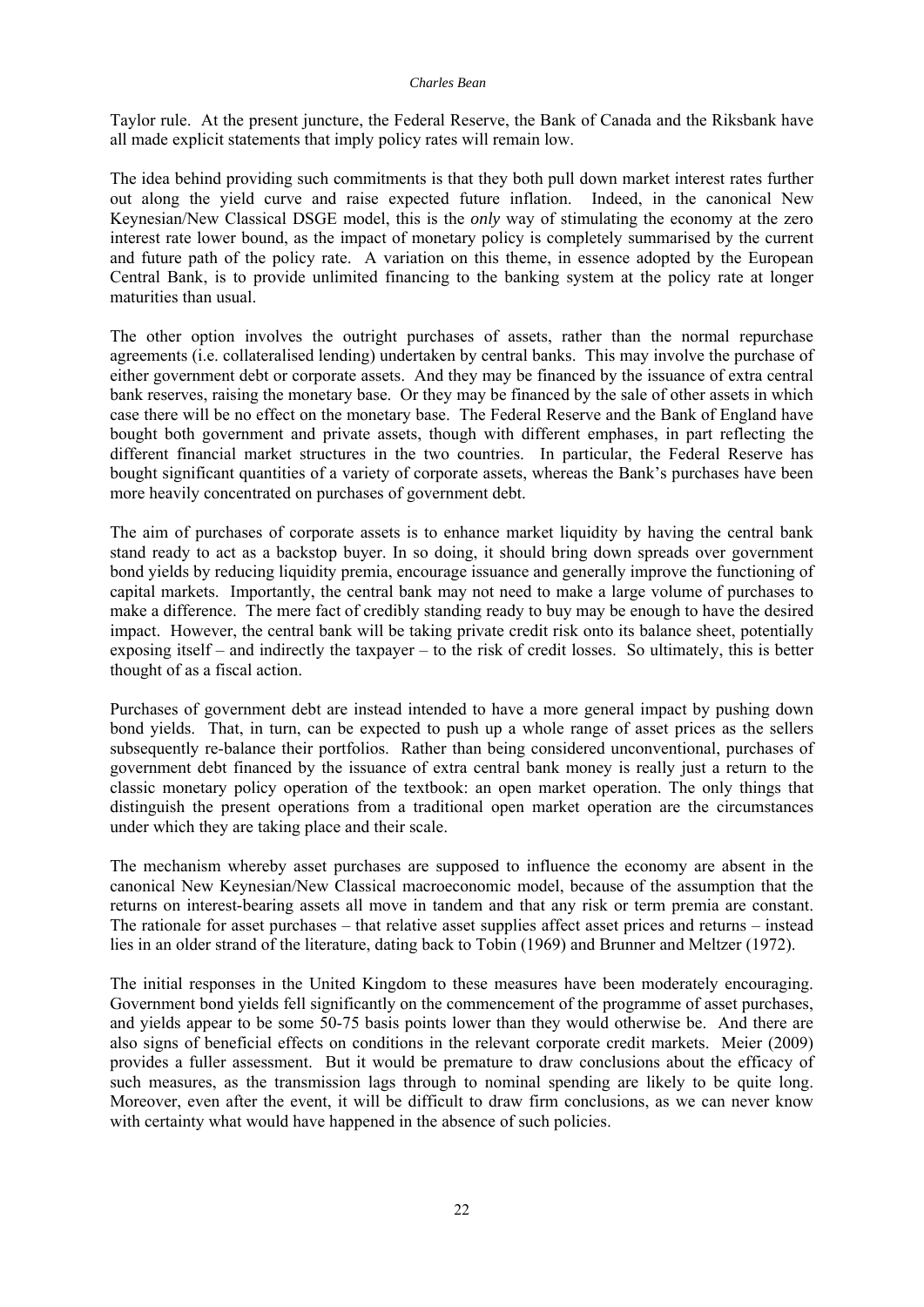Taylor rule. At the present juncture, the Federal Reserve, the Bank of Canada and the Riksbank have all made explicit statements that imply policy rates will remain low.

The idea behind providing such commitments is that they both pull down market interest rates further out along the yield curve and raise expected future inflation. Indeed, in the canonical New Keynesian/New Classical DSGE model, this is the *only* way of stimulating the economy at the zero interest rate lower bound, as the impact of monetary policy is completely summarised by the current and future path of the policy rate. A variation on this theme, in essence adopted by the European Central Bank, is to provide unlimited financing to the banking system at the policy rate at longer maturities than usual.

The other option involves the outright purchases of assets, rather than the normal repurchase agreements (i.e. collateralised lending) undertaken by central banks. This may involve the purchase of either government debt or corporate assets. And they may be financed by the issuance of extra central bank reserves, raising the monetary base. Or they may be financed by the sale of other assets in which case there will be no effect on the monetary base. The Federal Reserve and the Bank of England have bought both government and private assets, though with different emphases, in part reflecting the different financial market structures in the two countries. In particular, the Federal Reserve has bought significant quantities of a variety of corporate assets, whereas the Bank's purchases have been more heavily concentrated on purchases of government debt.

The aim of purchases of corporate assets is to enhance market liquidity by having the central bank stand ready to act as a backstop buyer. In so doing, it should bring down spreads over government bond yields by reducing liquidity premia, encourage issuance and generally improve the functioning of capital markets. Importantly, the central bank may not need to make a large volume of purchases to make a difference. The mere fact of credibly standing ready to buy may be enough to have the desired impact. However, the central bank will be taking private credit risk onto its balance sheet, potentially exposing itself – and indirectly the taxpayer – to the risk of credit losses. So ultimately, this is better thought of as a fiscal action.

Purchases of government debt are instead intended to have a more general impact by pushing down bond yields. That, in turn, can be expected to push up a whole range of asset prices as the sellers subsequently re-balance their portfolios. Rather than being considered unconventional, purchases of government debt financed by the issuance of extra central bank money is really just a return to the classic monetary policy operation of the textbook: an open market operation. The only things that distinguish the present operations from a traditional open market operation are the circumstances under which they are taking place and their scale.

The mechanism whereby asset purchases are supposed to influence the economy are absent in the canonical New Keynesian/New Classical macroeconomic model, because of the assumption that the returns on interest-bearing assets all move in tandem and that any risk or term premia are constant. The rationale for asset purchases – that relative asset supplies affect asset prices and returns – instead lies in an older strand of the literature, dating back to Tobin (1969) and Brunner and Meltzer (1972).

The initial responses in the United Kingdom to these measures have been moderately encouraging. Government bond yields fell significantly on the commencement of the programme of asset purchases, and yields appear to be some 50-75 basis points lower than they would otherwise be. And there are also signs of beneficial effects on conditions in the relevant corporate credit markets. Meier (2009) provides a fuller assessment. But it would be premature to draw conclusions about the efficacy of such measures, as the transmission lags through to nominal spending are likely to be quite long. Moreover, even after the event, it will be difficult to draw firm conclusions, as we can never know with certainty what would have happened in the absence of such policies.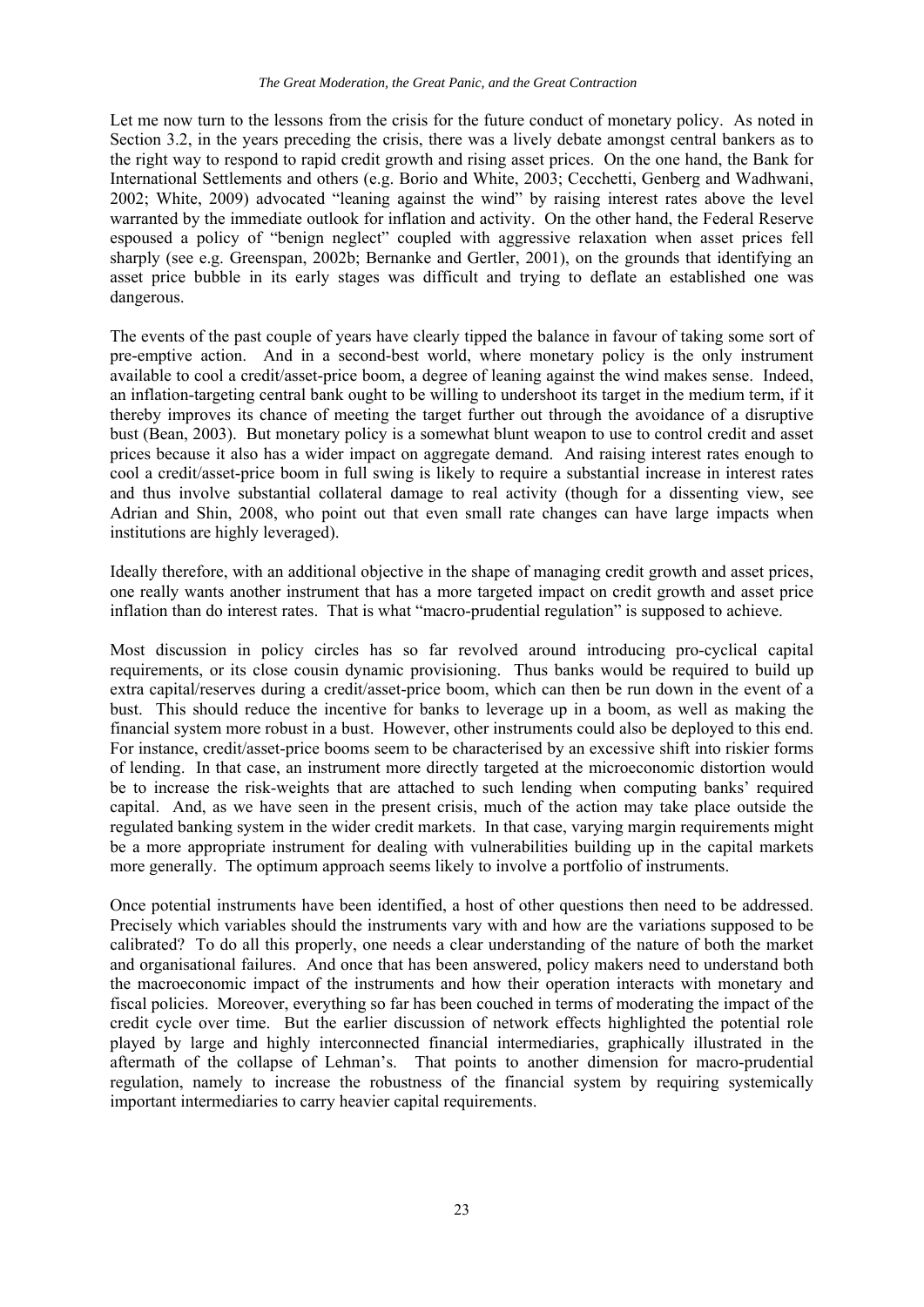Let me now turn to the lessons from the crisis for the future conduct of monetary policy. As noted in Section 3.2, in the years preceding the crisis, there was a lively debate amongst central bankers as to the right way to respond to rapid credit growth and rising asset prices. On the one hand, the Bank for International Settlements and others (e.g. Borio and White, 2003; Cecchetti, Genberg and Wadhwani, 2002; White, 2009) advocated "leaning against the wind" by raising interest rates above the level warranted by the immediate outlook for inflation and activity. On the other hand, the Federal Reserve espoused a policy of "benign neglect" coupled with aggressive relaxation when asset prices fell sharply (see e.g. Greenspan, 2002b; Bernanke and Gertler, 2001), on the grounds that identifying an asset price bubble in its early stages was difficult and trying to deflate an established one was dangerous.

The events of the past couple of years have clearly tipped the balance in favour of taking some sort of pre-emptive action. And in a second-best world, where monetary policy is the only instrument available to cool a credit/asset-price boom, a degree of leaning against the wind makes sense. Indeed, an inflation-targeting central bank ought to be willing to undershoot its target in the medium term, if it thereby improves its chance of meeting the target further out through the avoidance of a disruptive bust (Bean, 2003). But monetary policy is a somewhat blunt weapon to use to control credit and asset prices because it also has a wider impact on aggregate demand. And raising interest rates enough to cool a credit/asset-price boom in full swing is likely to require a substantial increase in interest rates and thus involve substantial collateral damage to real activity (though for a dissenting view, see Adrian and Shin, 2008, who point out that even small rate changes can have large impacts when institutions are highly leveraged).

Ideally therefore, with an additional objective in the shape of managing credit growth and asset prices, one really wants another instrument that has a more targeted impact on credit growth and asset price inflation than do interest rates. That is what "macro-prudential regulation" is supposed to achieve.

Most discussion in policy circles has so far revolved around introducing pro-cyclical capital requirements, or its close cousin dynamic provisioning. Thus banks would be required to build up extra capital/reserves during a credit/asset-price boom, which can then be run down in the event of a bust. This should reduce the incentive for banks to leverage up in a boom, as well as making the financial system more robust in a bust. However, other instruments could also be deployed to this end. For instance, credit/asset-price booms seem to be characterised by an excessive shift into riskier forms of lending. In that case, an instrument more directly targeted at the microeconomic distortion would be to increase the risk-weights that are attached to such lending when computing banks' required capital. And, as we have seen in the present crisis, much of the action may take place outside the regulated banking system in the wider credit markets. In that case, varying margin requirements might be a more appropriate instrument for dealing with vulnerabilities building up in the capital markets more generally. The optimum approach seems likely to involve a portfolio of instruments.

Once potential instruments have been identified, a host of other questions then need to be addressed. Precisely which variables should the instruments vary with and how are the variations supposed to be calibrated? To do all this properly, one needs a clear understanding of the nature of both the market and organisational failures. And once that has been answered, policy makers need to understand both the macroeconomic impact of the instruments and how their operation interacts with monetary and fiscal policies. Moreover, everything so far has been couched in terms of moderating the impact of the credit cycle over time. But the earlier discussion of network effects highlighted the potential role played by large and highly interconnected financial intermediaries, graphically illustrated in the aftermath of the collapse of Lehman's. That points to another dimension for macro-prudential regulation, namely to increase the robustness of the financial system by requiring systemically important intermediaries to carry heavier capital requirements.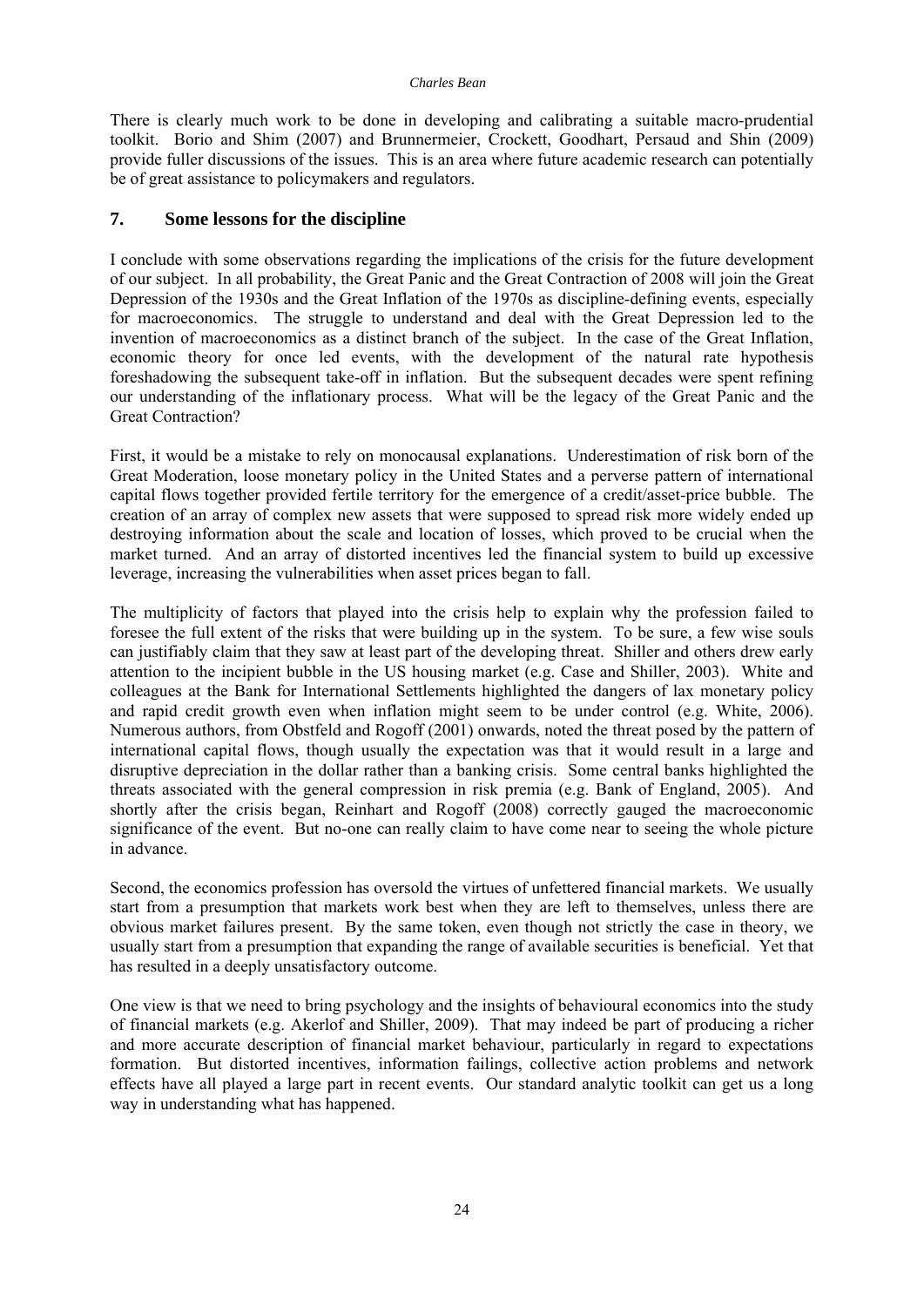There is clearly much work to be done in developing and calibrating a suitable macro-prudential toolkit. Borio and Shim (2007) and Brunnermeier, Crockett, Goodhart, Persaud and Shin (2009) provide fuller discussions of the issues. This is an area where future academic research can potentially be of great assistance to policymakers and regulators.

#### **7. Some lessons for the discipline**

I conclude with some observations regarding the implications of the crisis for the future development of our subject. In all probability, the Great Panic and the Great Contraction of 2008 will join the Great Depression of the 1930s and the Great Inflation of the 1970s as discipline-defining events, especially for macroeconomics. The struggle to understand and deal with the Great Depression led to the invention of macroeconomics as a distinct branch of the subject. In the case of the Great Inflation, economic theory for once led events, with the development of the natural rate hypothesis foreshadowing the subsequent take-off in inflation. But the subsequent decades were spent refining our understanding of the inflationary process. What will be the legacy of the Great Panic and the Great Contraction?

First, it would be a mistake to rely on monocausal explanations. Underestimation of risk born of the Great Moderation, loose monetary policy in the United States and a perverse pattern of international capital flows together provided fertile territory for the emergence of a credit/asset-price bubble. The creation of an array of complex new assets that were supposed to spread risk more widely ended up destroying information about the scale and location of losses, which proved to be crucial when the market turned. And an array of distorted incentives led the financial system to build up excessive leverage, increasing the vulnerabilities when asset prices began to fall.

The multiplicity of factors that played into the crisis help to explain why the profession failed to foresee the full extent of the risks that were building up in the system. To be sure, a few wise souls can justifiably claim that they saw at least part of the developing threat. Shiller and others drew early attention to the incipient bubble in the US housing market (e.g. Case and Shiller, 2003). White and colleagues at the Bank for International Settlements highlighted the dangers of lax monetary policy and rapid credit growth even when inflation might seem to be under control (e.g. White, 2006). Numerous authors, from Obstfeld and Rogoff (2001) onwards, noted the threat posed by the pattern of international capital flows, though usually the expectation was that it would result in a large and disruptive depreciation in the dollar rather than a banking crisis. Some central banks highlighted the threats associated with the general compression in risk premia (e.g. Bank of England, 2005). And shortly after the crisis began, Reinhart and Rogoff (2008) correctly gauged the macroeconomic significance of the event. But no-one can really claim to have come near to seeing the whole picture in advance.

Second, the economics profession has oversold the virtues of unfettered financial markets. We usually start from a presumption that markets work best when they are left to themselves, unless there are obvious market failures present. By the same token, even though not strictly the case in theory, we usually start from a presumption that expanding the range of available securities is beneficial. Yet that has resulted in a deeply unsatisfactory outcome.

One view is that we need to bring psychology and the insights of behavioural economics into the study of financial markets (e.g. Akerlof and Shiller, 2009). That may indeed be part of producing a richer and more accurate description of financial market behaviour, particularly in regard to expectations formation. But distorted incentives, information failings, collective action problems and network effects have all played a large part in recent events. Our standard analytic toolkit can get us a long way in understanding what has happened.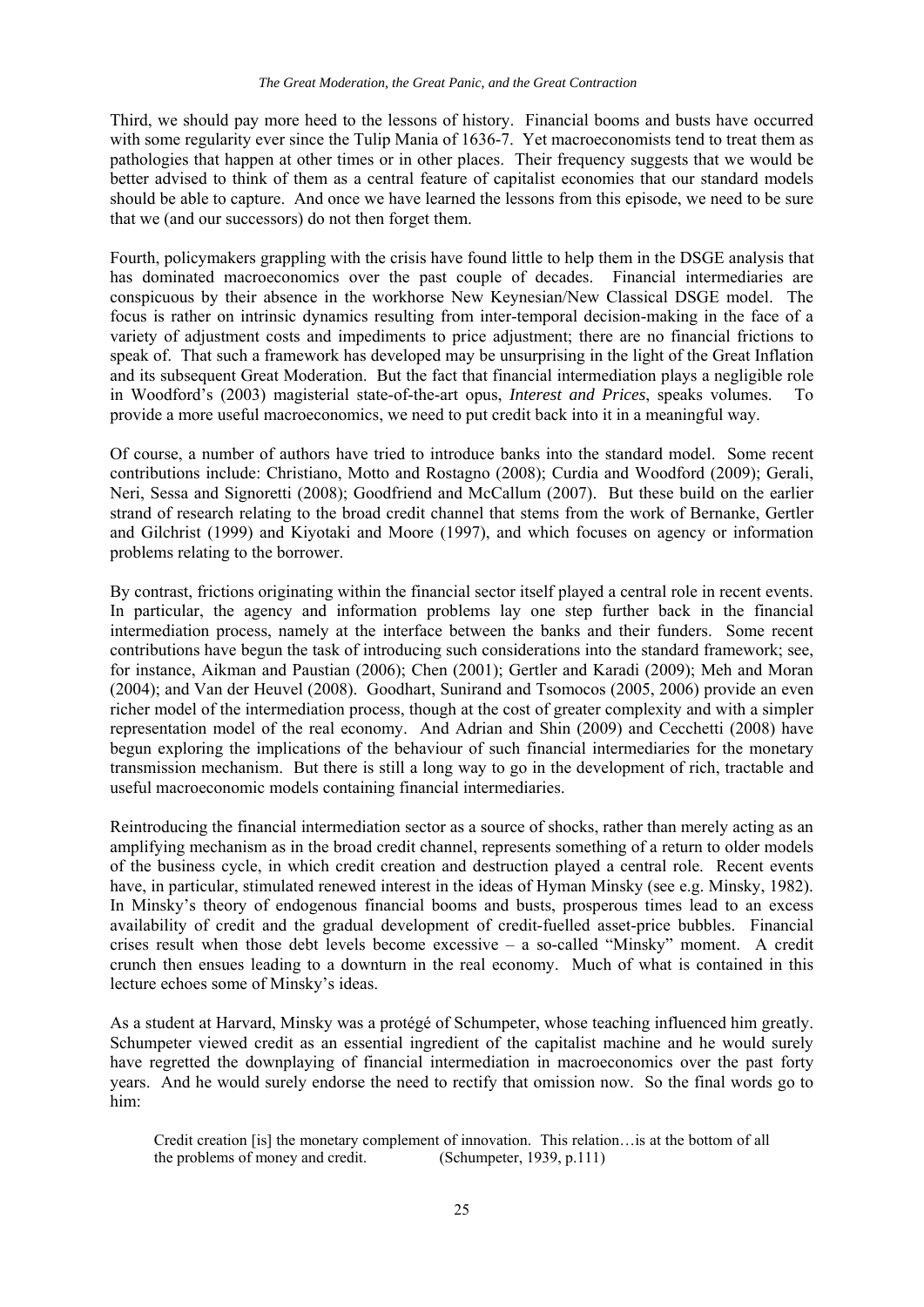Third, we should pay more heed to the lessons of history. Financial booms and busts have occurred with some regularity ever since the Tulip Mania of 1636-7. Yet macroeconomists tend to treat them as pathologies that happen at other times or in other places. Their frequency suggests that we would be better advised to think of them as a central feature of capitalist economies that our standard models should be able to capture. And once we have learned the lessons from this episode, we need to be sure that we (and our successors) do not then forget them.

Fourth, policymakers grappling with the crisis have found little to help them in the DSGE analysis that has dominated macroeconomics over the past couple of decades. Financial intermediaries are conspicuous by their absence in the workhorse New Keynesian/New Classical DSGE model. The focus is rather on intrinsic dynamics resulting from inter-temporal decision-making in the face of a variety of adjustment costs and impediments to price adjustment; there are no financial frictions to speak of. That such a framework has developed may be unsurprising in the light of the Great Inflation and its subsequent Great Moderation. But the fact that financial intermediation plays a negligible role in Woodford's (2003) magisterial state-of-the-art opus, *Interest and Prices*, speaks volumes. To provide a more useful macroeconomics, we need to put credit back into it in a meaningful way.

Of course, a number of authors have tried to introduce banks into the standard model. Some recent contributions include: Christiano, Motto and Rostagno (2008); Curdia and Woodford (2009); Gerali, Neri, Sessa and Signoretti (2008); Goodfriend and McCallum (2007). But these build on the earlier strand of research relating to the broad credit channel that stems from the work of Bernanke, Gertler and Gilchrist (1999) and Kiyotaki and Moore (1997), and which focuses on agency or information problems relating to the borrower.

By contrast, frictions originating within the financial sector itself played a central role in recent events. In particular, the agency and information problems lay one step further back in the financial intermediation process, namely at the interface between the banks and their funders. Some recent contributions have begun the task of introducing such considerations into the standard framework; see, for instance, Aikman and Paustian (2006); Chen (2001); Gertler and Karadi (2009); Meh and Moran (2004); and Van der Heuvel (2008). Goodhart, Sunirand and Tsomocos (2005, 2006) provide an even richer model of the intermediation process, though at the cost of greater complexity and with a simpler representation model of the real economy. And Adrian and Shin (2009) and Cecchetti (2008) have begun exploring the implications of the behaviour of such financial intermediaries for the monetary transmission mechanism. But there is still a long way to go in the development of rich, tractable and useful macroeconomic models containing financial intermediaries.

Reintroducing the financial intermediation sector as a source of shocks, rather than merely acting as an amplifying mechanism as in the broad credit channel, represents something of a return to older models of the business cycle, in which credit creation and destruction played a central role. Recent events have, in particular, stimulated renewed interest in the ideas of Hyman Minsky (see e.g. Minsky, 1982). In Minsky's theory of endogenous financial booms and busts, prosperous times lead to an excess availability of credit and the gradual development of credit-fuelled asset-price bubbles. Financial crises result when those debt levels become excessive – a so-called "Minsky" moment. A credit crunch then ensues leading to a downturn in the real economy. Much of what is contained in this lecture echoes some of Minsky's ideas.

As a student at Harvard, Minsky was a protégé of Schumpeter, whose teaching influenced him greatly. Schumpeter viewed credit as an essential ingredient of the capitalist machine and he would surely have regretted the downplaying of financial intermediation in macroeconomics over the past forty years. And he would surely endorse the need to rectify that omission now. So the final words go to him:

Credit creation [is] the monetary complement of innovation. This relation…is at the bottom of all the problems of money and credit. (Schumpeter, 1939, p.111)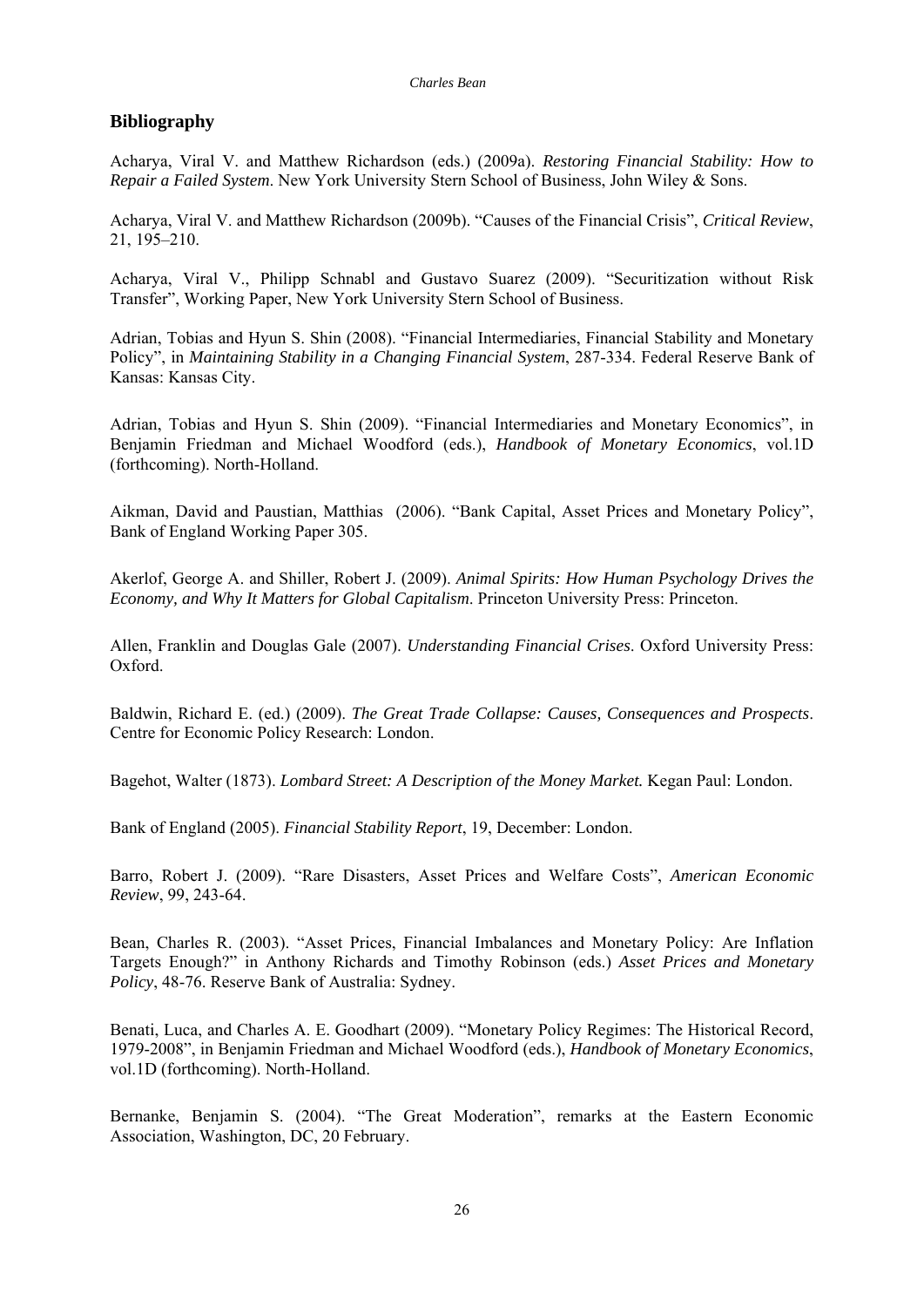## **Bibliography**

Acharya, Viral V. and Matthew Richardson (eds.) (2009a). *Restoring Financial Stability: How to Repair a Failed System*. New York University Stern School of Business, John Wiley & Sons.

Acharya, Viral V. and Matthew Richardson (2009b). "Causes of the Financial Crisis", *Critical Review*, 21, 195–210.

Acharya, Viral V., Philipp Schnabl and Gustavo Suarez (2009). "Securitization without Risk Transfer", Working Paper, New York University Stern School of Business.

Adrian, Tobias and Hyun S. Shin (2008). "Financial Intermediaries, Financial Stability and Monetary Policy", in *Maintaining Stability in a Changing Financial System*, 287-334. Federal Reserve Bank of Kansas: Kansas City.

Adrian, Tobias and Hyun S. Shin (2009). "Financial Intermediaries and Monetary Economics", in Benjamin Friedman and Michael Woodford (eds.), *Handbook of Monetary Economics*, vol.1D (forthcoming). North-Holland.

Aikman, David and Paustian, Matthias (2006). "Bank Capital, Asset Prices and Monetary Policy", Bank of England Working Paper 305.

Akerlof, George A. and Shiller, Robert J. (2009). *Animal Spirits: How Human Psychology Drives the Economy, and Why It Matters for Global Capitalism*. Princeton University Press: Princeton.

Allen, Franklin and Douglas Gale (2007). *Understanding Financial Crises*. Oxford University Press: Oxford.

Baldwin, Richard E. (ed.) (2009). *The Great Trade Collapse: Causes, Consequences and Prospects*. Centre for Economic Policy Research: London.

Bagehot, Walter (1873). *Lombard Street: A Description of the Money Market.* Kegan Paul: London.

Bank of England (2005). *Financial Stability Report*, 19, December: London.

Barro, Robert J. (2009). "Rare Disasters, Asset Prices and Welfare Costs", *American Economic Review*, 99, 243-64.

Bean, Charles R. (2003). "Asset Prices, Financial Imbalances and Monetary Policy: Are Inflation Targets Enough?" in Anthony Richards and Timothy Robinson (eds.) *Asset Prices and Monetary Policy*, 48-76. Reserve Bank of Australia: Sydney.

Benati, Luca, and Charles A. E. Goodhart (2009). "Monetary Policy Regimes: The Historical Record, 1979-2008", in Benjamin Friedman and Michael Woodford (eds.), *Handbook of Monetary Economics*, vol.1D (forthcoming). North-Holland.

Bernanke, Benjamin S. (2004). "The Great Moderation", remarks at the Eastern Economic Association, Washington, DC, 20 February.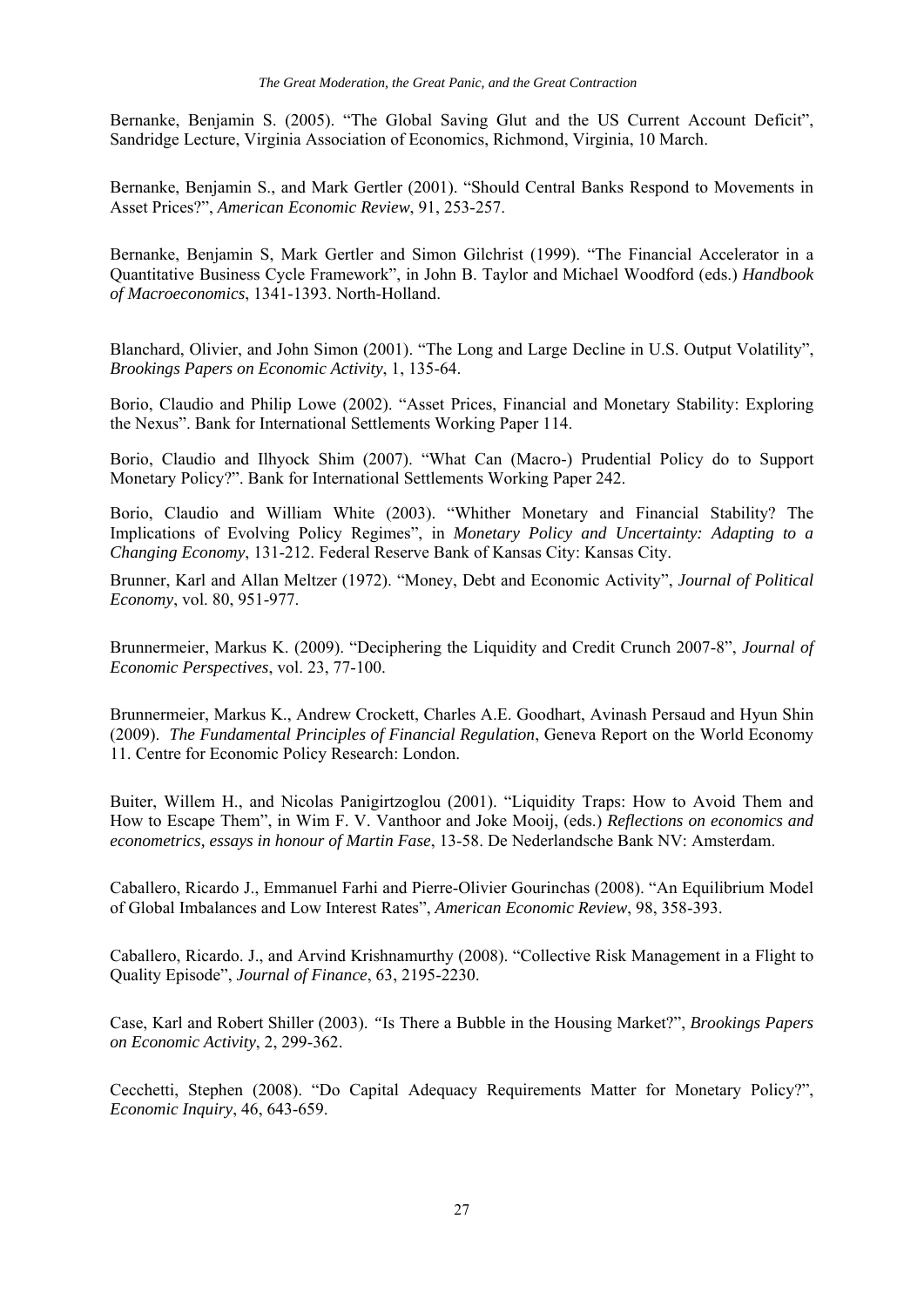Bernanke, Benjamin S. (2005). "The Global Saving Glut and the US Current Account Deficit", Sandridge Lecture, Virginia Association of Economics, Richmond, Virginia, 10 March.

Bernanke, Benjamin S., and Mark Gertler (2001). "Should Central Banks Respond to Movements in Asset Prices?", *American Economic Review*, 91, 253-257.

Bernanke, Benjamin S, Mark Gertler and Simon Gilchrist (1999). "The Financial Accelerator in a Quantitative Business Cycle Framework", in John B. Taylor and Michael Woodford (eds.) *Handbook of Macroeconomics*, 1341-1393. North-Holland.

Blanchard, Olivier, and John Simon (2001). "The Long and Large Decline in U.S. Output Volatility", *Brookings Papers on Economic Activity*, 1, 135-64.

Borio, Claudio and Philip Lowe (2002). "Asset Prices, Financial and Monetary Stability: Exploring the Nexus". Bank for International Settlements Working Paper 114.

Borio, Claudio and Ilhyock Shim (2007). "What Can (Macro-) Prudential Policy do to Support Monetary Policy?". Bank for International Settlements Working Paper 242.

Borio, Claudio and William White (2003). "Whither Monetary and Financial Stability? The Implications of Evolving Policy Regimes", in *Monetary Policy and Uncertainty: Adapting to a Changing Economy*, 131-212. Federal Reserve Bank of Kansas City: Kansas City.

Brunner, Karl and Allan Meltzer (1972). "Money, Debt and Economic Activity", *Journal of Political Economy*, vol. 80, 951-977.

Brunnermeier, Markus K. (2009). "Deciphering the Liquidity and Credit Crunch 2007-8", *Journal of Economic Perspectives*, vol. 23, 77-100.

Brunnermeier, Markus K., Andrew Crockett, Charles A.E. Goodhart, Avinash Persaud and Hyun Shin (2009). *The Fundamental Principles of Financial Regulation*, Geneva Report on the World Economy 11. Centre for Economic Policy Research: London.

Buiter, Willem H., and Nicolas Panigirtzoglou (2001). "Liquidity Traps: How to Avoid Them and How to Escape Them", in Wim F. V. Vanthoor and Joke Mooij, (eds.) *Reflections on economics and econometrics, essays in honour of Martin Fase*, 13-58. De Nederlandsche Bank NV: Amsterdam.

Caballero, Ricardo J., Emmanuel Farhi and Pierre-Olivier Gourinchas (2008). "An Equilibrium Model of Global Imbalances and Low Interest Rates", *American Economic Review*, 98, 358-393.

Caballero, Ricardo. J., and Arvind Krishnamurthy (2008). "Collective Risk Management in a Flight to Quality Episode", *Journal of Finance*, 63, 2195-2230.

Case, Karl and Robert Shiller (2003). *"*[Is There a Bubble in the Housing Market?](http://www.econ.yale.edu/%7Eshiller/pubs/p1089.pdf)", *Brookings Papers on Economic Activity*, 2, 299-362.

Cecchetti, Stephen (2008). "Do Capital Adequacy Requirements Matter for Monetary Policy?", *Economic Inquiry*, 46, 643-659.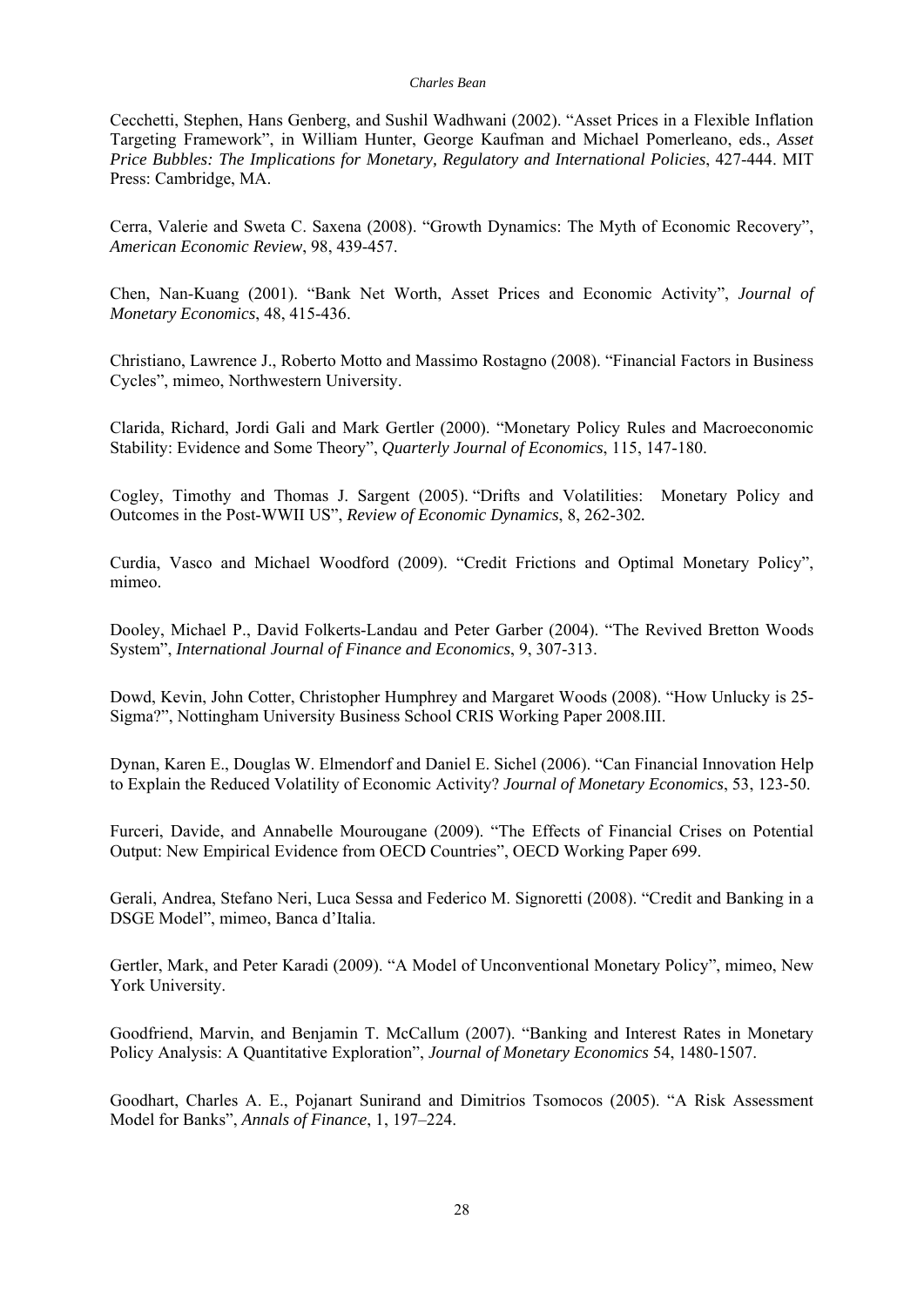Cecchetti, Stephen, Hans Genberg, and Sushil Wadhwani (2002). "Asset Prices in a Flexible Inflation Targeting Framework", in William Hunter, George Kaufman and Michael Pomerleano, eds., *Asset Price Bubbles: The Implications for Monetary, Regulatory and International Policies*, 427-444. MIT Press: Cambridge, MA.

Cerra, Valerie and Sweta C. Saxena (2008). "Growth Dynamics: The Myth of Economic Recovery", *American Economic Review*, 98, 439-457.

Chen, Nan-Kuang (2001). "Bank Net Worth, Asset Prices and Economic Activity", *Journal of Monetary Economics*, 48, 415-436.

Christiano, Lawrence J., Roberto Motto and Massimo Rostagno (2008). "Financial Factors in Business Cycles", mimeo, Northwestern University.

Clarida, Richard, Jordi Gali and Mark Gertler (2000). "Monetary Policy Rules and Macroeconomic Stability: Evidence and Some Theory", *Quarterly Journal of Economics*, 115, 147-180.

Cogley, Timothy and Thomas J. Sargent (2005). "Drifts and Volatilities: Monetary Policy and Outcomes in the Post-WWII US", *Review of Economic Dynamics*, 8, 262-302*.*

Curdia, Vasco and Michael Woodford (2009). "Credit Frictions and Optimal Monetary Policy", mimeo.

Dooley, Michael P., David Folkerts-Landau and Peter Garber (2004). "The Revived Bretton Woods System", *International Journal of Finance and Economics*, 9, 307-313.

Dowd, Kevin, John Cotter, Christopher Humphrey and Margaret Woods (2008). "How Unlucky is 25- Sigma?", Nottingham University Business School CRIS Working Paper 2008.III.

Dynan, Karen E., Douglas W. Elmendorf and Daniel E. Sichel (2006). "Can Financial Innovation Help to Explain the Reduced Volatility of Economic Activity? *Journal of Monetary Economics*, 53, 123-50.

Furceri, Davide, and Annabelle Mourougane (2009). "The Effects of Financial Crises on Potential Output: New Empirical Evidence from OECD Countries", OECD Working Paper 699.

Gerali, Andrea, Stefano Neri, Luca Sessa and Federico M. Signoretti (2008). "Credit and Banking in a DSGE Model", mimeo, Banca d'Italia.

Gertler, Mark, and Peter Karadi (2009). "A Model of Unconventional Monetary Policy", mimeo, New York University.

Goodfriend, Marvin, and Benjamin T. McCallum (2007). "Banking and Interest Rates in Monetary Policy Analysis: A Quantitative Exploration", *Journal of Monetary Economics* 54, 1480-1507.

Goodhart, Charles A. E., Pojanart Sunirand and Dimitrios Tsomocos (2005). "A Risk Assessment Model for Banks", *Annals of Finance*, 1, 197–224.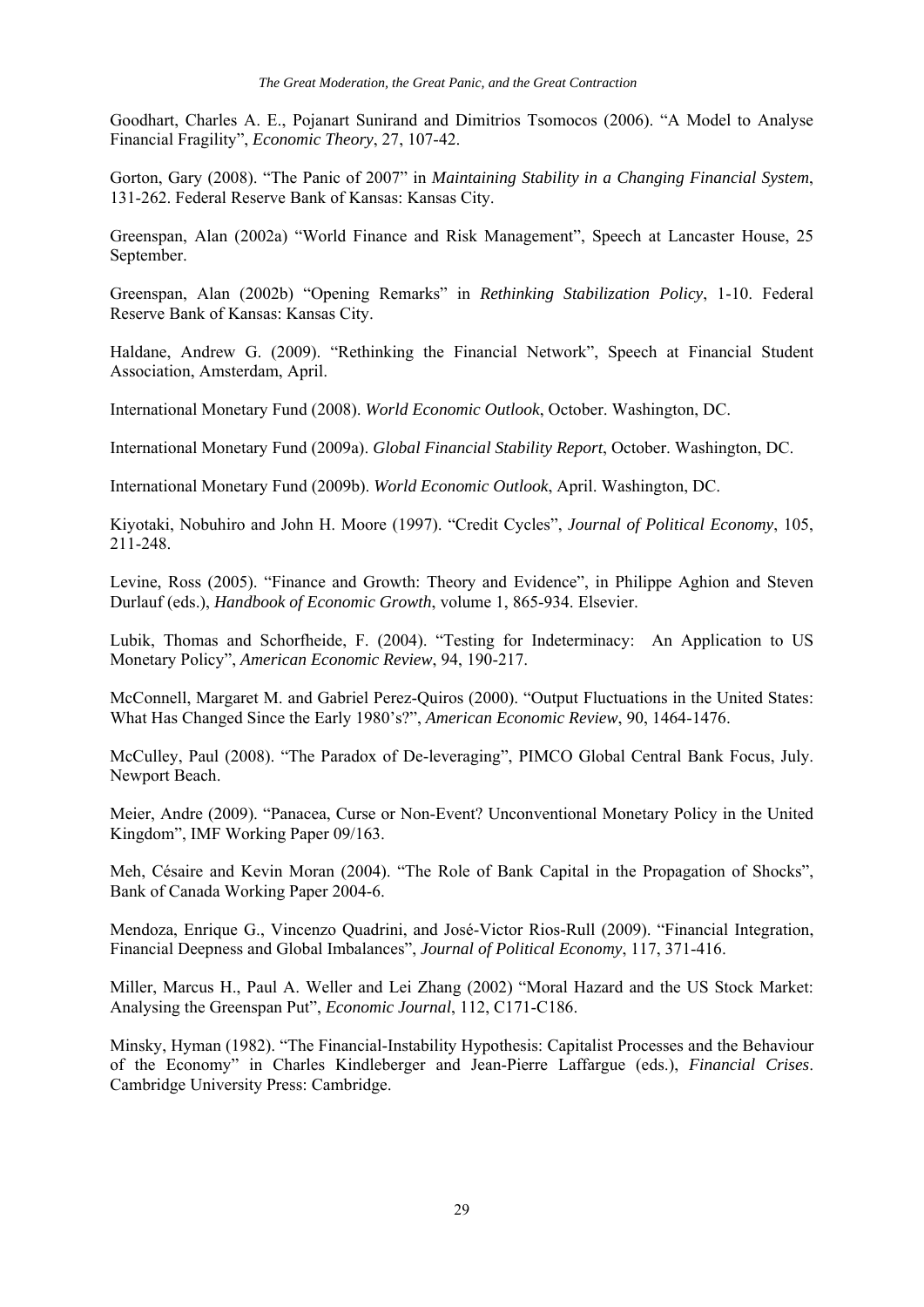Goodhart, Charles A. E., Pojanart Sunirand and Dimitrios Tsomocos (2006). "A Model to Analyse Financial Fragility", *Economic Theory*, 27, 107-42.

Gorton, Gary (2008). "The Panic of 2007" in *Maintaining Stability in a Changing Financial System*, 131-262. Federal Reserve Bank of Kansas: Kansas City.

Greenspan, Alan (2002a) "World Finance and Risk Management", Speech at Lancaster House, 25 September.

Greenspan, Alan (2002b) "Opening Remarks" in *Rethinking Stabilization Policy*, 1-10. Federal Reserve Bank of Kansas: Kansas City.

Haldane, Andrew G. (2009). "Rethinking the Financial Network", Speech at Financial Student Association, Amsterdam, April.

International Monetary Fund (2008). *World Economic Outlook*, October. Washington, DC.

International Monetary Fund (2009a). *Global Financial Stability Report*, October. Washington, DC.

International Monetary Fund (2009b). *World Economic Outlook*, April. Washington, DC.

Kiyotaki, Nobuhiro and John H. Moore (1997). "Credit Cycles", *Journal of Political Economy*, 105, 211-248.

Levine, Ross (2005). "Finance and Growth: Theory and Evidence", in Philippe Aghion and Steven Durlauf (eds.), *Handbook of Economic Growth*, volume 1, 865-934. Elsevier.

Lubik, Thomas and Schorfheide, F. (2004). "Testing for Indeterminacy: An Application to US Monetary Policy", *American Economic Review*, 94, 190-217.

McConnell, Margaret M. and Gabriel Perez-Quiros (2000). "Output Fluctuations in the United States: What Has Changed Since the Early 1980's?", *American Economic Review*, 90, 1464-1476.

McCulley, Paul (2008). "The Paradox of De-leveraging", PIMCO Global Central Bank Focus, July. Newport Beach.

Meier, Andre (2009). "Panacea, Curse or Non-Event? Unconventional Monetary Policy in the United Kingdom", IMF Working Paper 09/163.

Meh, Césaire and Kevin Moran (2004). "The Role of Bank Capital in the Propagation of Shocks", Bank of Canada Working Paper 2004-6.

Mendoza, Enrique G., Vincenzo Quadrini, and José-Victor Rios-Rull (2009). "Financial Integration, Financial Deepness and Global Imbalances", *Journal of Political Economy*, 117, 371-416.

Miller, Marcus H., Paul A. Weller and Lei Zhang (2002) "Moral Hazard and the US Stock Market: Analysing the Greenspan Put", *Economic Journal*, 112, C171-C186.

Minsky, Hyman (1982). "The Financial-Instability Hypothesis: Capitalist Processes and the Behaviour of the Economy" in Charles Kindleberger and Jean-Pierre Laffargue (eds.), *Financial Crises*. Cambridge University Press: Cambridge.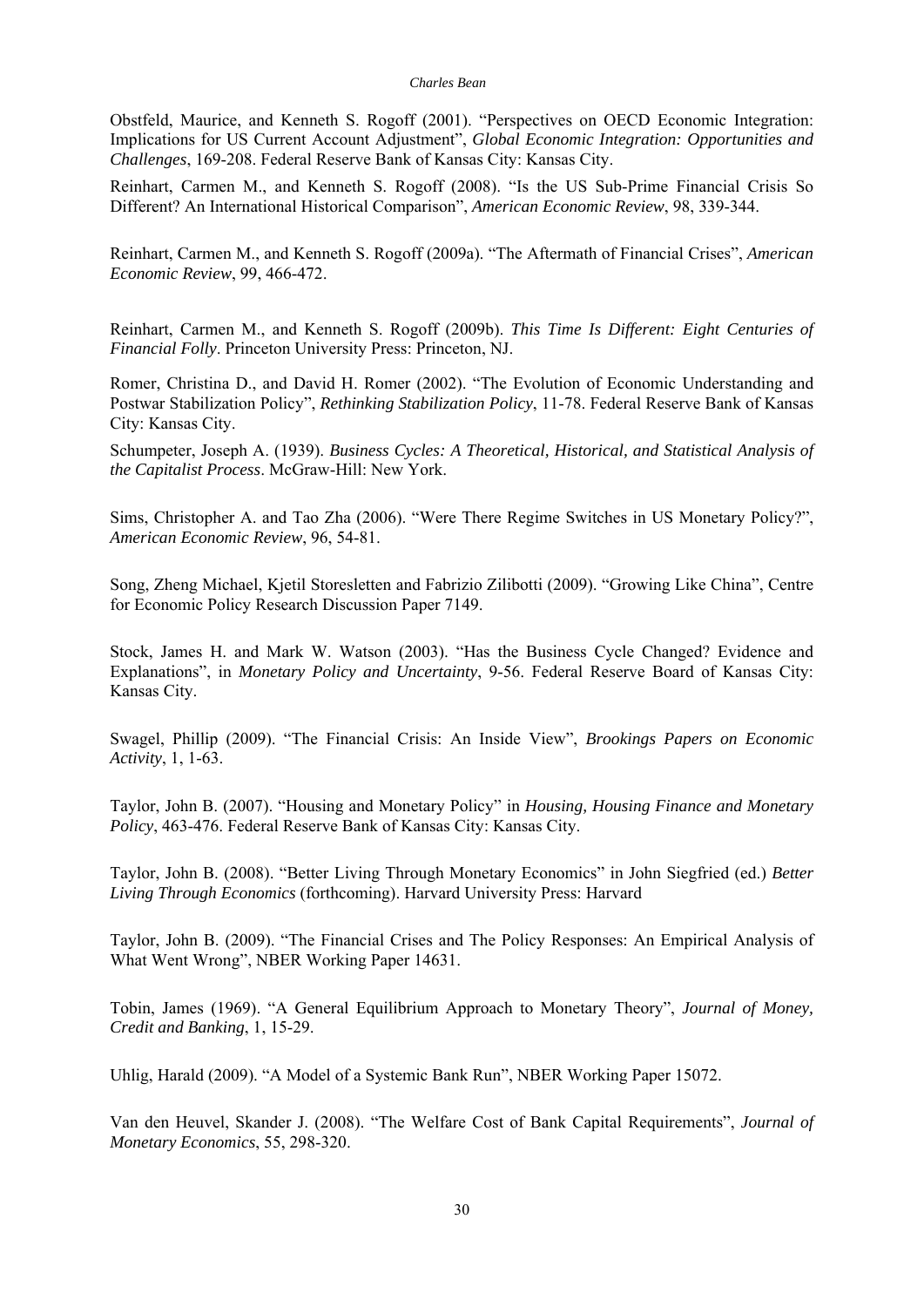Obstfeld, Maurice, and Kenneth S. Rogoff (2001). "Perspectives on OECD Economic Integration: Implications for US Current Account Adjustment", *Global Economic Integration: Opportunities and Challenges*, 169-208. Federal Reserve Bank of Kansas City: Kansas City.

Reinhart, Carmen M., and Kenneth S. Rogoff (2008). "Is the US Sub-Prime Financial Crisis So Different? An International Historical Comparison", *American Economic Review*, 98, 339-344.

Reinhart, Carmen M., and Kenneth S. Rogoff (2009a). "The Aftermath of Financial Crises", *American Economic Review*, 99, 466-472.

Reinhart, Carmen M., and Kenneth S. Rogoff (2009b). *This Time Is Different: Eight Centuries of Financial Folly*. Princeton University Press: Princeton, NJ.

Romer, Christina D., and David H. Romer (2002). "The Evolution of Economic Understanding and Postwar Stabilization Policy", *Rethinking Stabilization Policy*, 11-78. Federal Reserve Bank of Kansas City: Kansas City.

Schumpeter, Joseph A. (1939). *Business Cycles: A Theoretical, Historical, and Statistical Analysis of the Capitalist Process*. McGraw-Hill: New York.

Sims, Christopher A. and Tao Zha (2006). "Were There Regime Switches in US Monetary Policy?", *American Economic Review*, 96, 54-81.

Song, Zheng Michael, Kjetil Storesletten and Fabrizio Zilibotti (2009). "Growing Like China", Centre for Economic Policy Research Discussion Paper 7149.

Stock, James H. and Mark W. Watson (2003). "Has the Business Cycle Changed? Evidence and Explanations", in *Monetary Policy and Uncertainty*, 9-56. Federal Reserve Board of Kansas City: Kansas City.

Swagel, Phillip (2009). "The Financial Crisis: An Inside View", *Brookings Papers on Economic Activity*, 1, 1-63.

Taylor, John B. (2007). "Housing and Monetary Policy" in *Housing, Housing Finance and Monetary Policy*, 463-476. Federal Reserve Bank of Kansas City: Kansas City.

Taylor, John B. (2008). "Better Living Through Monetary Economics" in John Siegfried (ed.) *Better Living Through Economics* (forthcoming). Harvard University Press: Harvard

Taylor, John B. (2009). "The Financial Crises and The Policy Responses: An Empirical Analysis of What Went Wrong", NBER Working Paper 14631.

Tobin, James (1969). "A General Equilibrium Approach to Monetary Theory", *Journal of Money, Credit and Banking*, 1, 15-29.

Uhlig, Harald (2009). "A Model of a Systemic Bank Run", NBER Working Paper 15072.

Van den Heuvel, Skander J. (2008). "The Welfare Cost of Bank Capital Requirements", *Journal of Monetary Economics*, 55, 298-320.